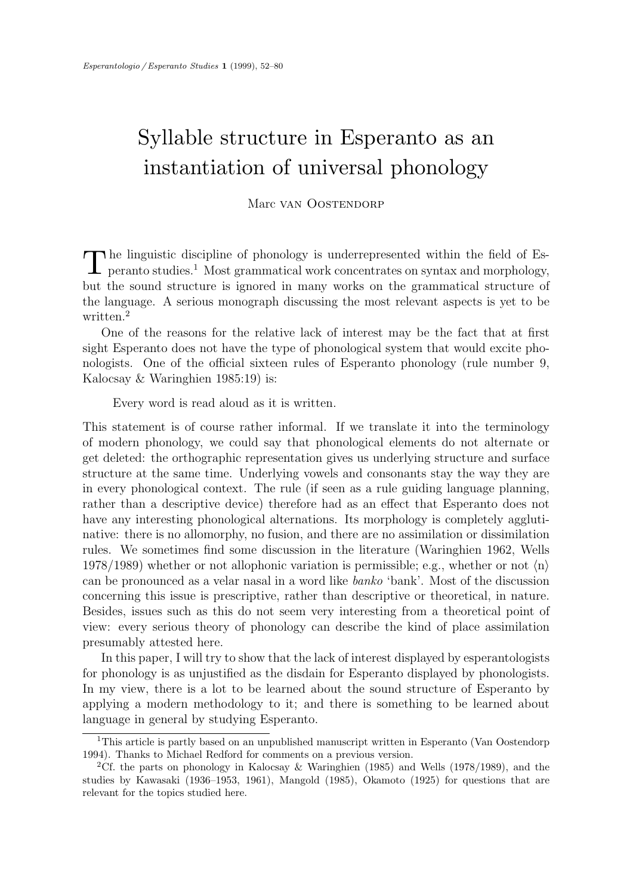# Syllable structure in Esperanto as an instantiation of universal phonology

Marc van Oostendorp

 $\prod$ he linguistic discipline of phonology is underrepresented within the field of Esperanto studies.<sup>1</sup> Most grammatical work concentrates on syntax and morphology, peranto studies.<sup>1</sup> Most grammatical work concentrates on syntax and morphology, but the sound structure is ignored in many works on the grammatical structure of the language. A serious monograph discussing the most relevant aspects is yet to be written.<sup>2</sup>

One of the reasons for the relative lack of interest may be the fact that at first sight Esperanto does not have the type of phonological system that would excite phonologists. One of the official sixteen rules of Esperanto phonology (rule number 9, Kalocsay & Waringhien 1985:19) is:

Every word is read aloud as it is written.

This statement is of course rather informal. If we translate it into the terminology of modern phonology, we could say that phonological elements do not alternate or get deleted: the orthographic representation gives us underlying structure and surface structure at the same time. Underlying vowels and consonants stay the way they are in every phonological context. The rule (if seen as a rule guiding language planning, rather than a descriptive device) therefore had as an effect that Esperanto does not have any interesting phonological alternations. Its morphology is completely agglutinative: there is no allomorphy, no fusion, and there are no assimilation or dissimilation rules. We sometimes find some discussion in the literature (Waringhien 1962, Wells 1978/1989) whether or not allophonic variation is permissible; e.g., whether or not  $\langle n \rangle$ can be pronounced as a velar nasal in a word like banko 'bank'. Most of the discussion concerning this issue is prescriptive, rather than descriptive or theoretical, in nature. Besides, issues such as this do not seem very interesting from a theoretical point of view: every serious theory of phonology can describe the kind of place assimilation presumably attested here.

In this paper, I will try to show that the lack of interest displayed by esperantologists for phonology is as unjustified as the disdain for Esperanto displayed by phonologists. In my view, there is a lot to be learned about the sound structure of Esperanto by applying a modern methodology to it; and there is something to be learned about language in general by studying Esperanto.

<sup>&</sup>lt;sup>1</sup>This article is partly based on an unpublished manuscript written in Esperanto (Van Oostendorp 1994). Thanks to Michael Redford for comments on a previous version.

<sup>2</sup>Cf. the parts on phonology in Kalocsay & Waringhien (1985) and Wells (1978/1989), and the studies by Kawasaki (1936–1953, 1961), Mangold (1985), Okamoto (1925) for questions that are relevant for the topics studied here.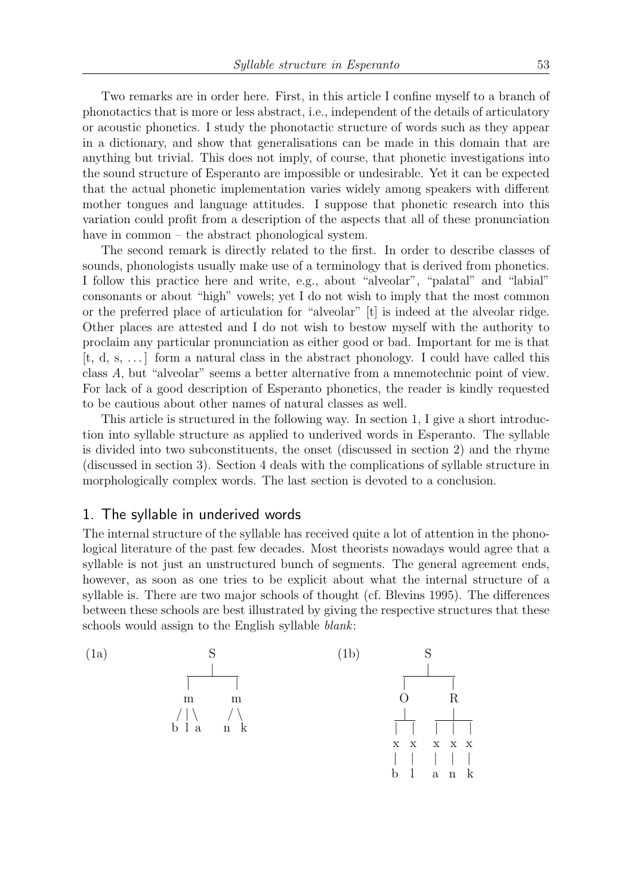Two remarks are in order here. First, in this article I confine myself to a branch of phonotactics that is more or less abstract, i.e., independent of the details of articulatory or acoustic phonetics. I study the phonotactic structure of words such as they appear in a dictionary, and show that generalisations can be made in this domain that are anything but trivial. This does not imply, of course, that phonetic investigations into the sound structure of Esperanto are impossible or undesirable. Yet it can be expected that the actual phonetic implementation varies widely among speakers with different mother tongues and language attitudes. I suppose that phonetic research into this variation could profit from a description of the aspects that all of these pronunciation have in common – the abstract phonological system.

The second remark is directly related to the first. In order to describe classes of sounds, phonologists usually make use of a terminology that is derived from phonetics. I follow this practice here and write, e.g., about "alveolar", "palatal" and "labial" consonants or about "high" vowels; yet I do not wish to imply that the most common or the preferred place of articulation for "alveolar" [t] is indeed at the alveolar ridge. Other places are attested and I do not wish to bestow myself with the authority to proclaim any particular pronunciation as either good or bad. Important for me is that [t, d, s, . . . ] form a natural class in the abstract phonology. I could have called this class A, but "alveolar" seems a better alternative from a mnemotechnic point of view. For lack of a good description of Esperanto phonetics, the reader is kindly requested to be cautious about other names of natural classes as well.

This article is structured in the following way. In section 1, I give a short introduction into syllable structure as applied to underived words in Esperanto. The syllable is divided into two subconstituents, the onset (discussed in section 2) and the rhyme (discussed in section 3). Section 4 deals with the complications of syllable structure in morphologically complex words. The last section is devoted to a conclusion.

# 1. The syllable in underived words

The internal structure of the syllable has received quite a lot of attention in the phonological literature of the past few decades. Most theorists nowadays would agree that a syllable is not just an unstructured bunch of segments. The general agreement ends, however, as soon as one tries to be explicit about what the internal structure of a syllable is. There are two major schools of thought (cf. Blevins 1995). The differences between these schools are best illustrated by giving the respective structures that these schools would assign to the English syllable blank:

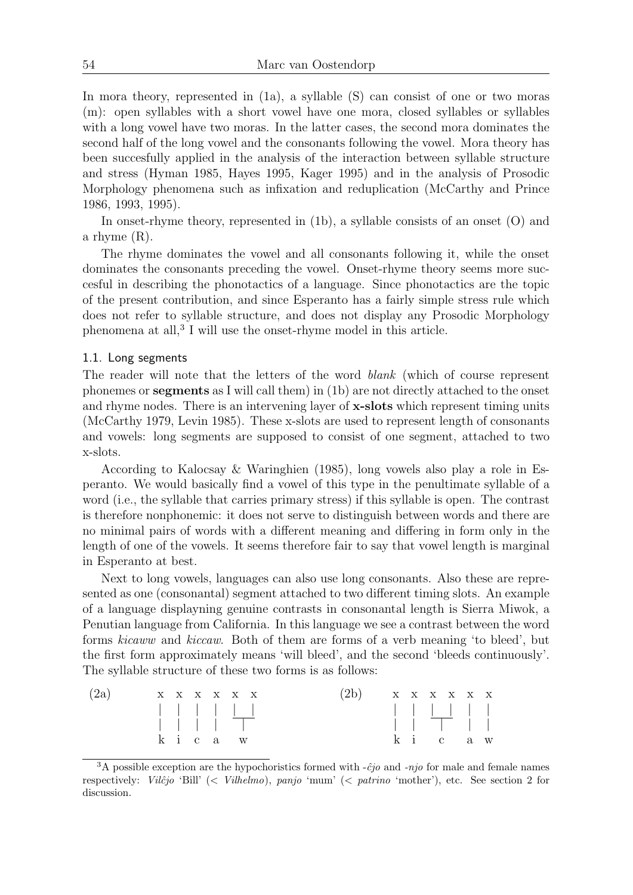In mora theory, represented in (1a), a syllable (S) can consist of one or two moras (m): open syllables with a short vowel have one mora, closed syllables or syllables with a long vowel have two moras. In the latter cases, the second mora dominates the second half of the long vowel and the consonants following the vowel. Mora theory has been succesfully applied in the analysis of the interaction between syllable structure and stress (Hyman 1985, Hayes 1995, Kager 1995) and in the analysis of Prosodic Morphology phenomena such as infixation and reduplication (McCarthy and Prince 1986, 1993, 1995).

In onset-rhyme theory, represented in (1b), a syllable consists of an onset (O) and a rhyme (R).

The rhyme dominates the vowel and all consonants following it, while the onset dominates the consonants preceding the vowel. Onset-rhyme theory seems more succesful in describing the phonotactics of a language. Since phonotactics are the topic of the present contribution, and since Esperanto has a fairly simple stress rule which does not refer to syllable structure, and does not display any Prosodic Morphology phenomena at all,<sup>3</sup> I will use the onset-rhyme model in this article.

## 1.1. Long segments

The reader will note that the letters of the word blank (which of course represent phonemes or segments as I will call them) in (1b) are not directly attached to the onset and rhyme nodes. There is an intervening layer of **x-slots** which represent timing units (McCarthy 1979, Levin 1985). These x-slots are used to represent length of consonants and vowels: long segments are supposed to consist of one segment, attached to two x-slots.

According to Kalocsay & Waringhien (1985), long vowels also play a role in Esperanto. We would basically find a vowel of this type in the penultimate syllable of a word (i.e., the syllable that carries primary stress) if this syllable is open. The contrast is therefore nonphonemic: it does not serve to distinguish between words and there are no minimal pairs of words with a different meaning and differing in form only in the length of one of the vowels. It seems therefore fair to say that vowel length is marginal in Esperanto at best.

Next to long vowels, languages can also use long consonants. Also these are represented as one (consonantal) segment attached to two different timing slots. An example of a language displayning genuine contrasts in consonantal length is Sierra Miwok, a Penutian language from California. In this language we see a contrast between the word forms kicaww and kiccaw. Both of them are forms of a verb meaning 'to bleed', but the first form approximately means 'will bleed', and the second 'bleeds continuously'. The syllable structure of these two forms is as follows:

| (2a) |  |  | X X X X X X | (2b)<br>$\begin{array}{ccccccccc} & & X & X & X & X & X \end{array}$ |  |  |        |  |
|------|--|--|-------------|----------------------------------------------------------------------|--|--|--------|--|
|      |  |  |             |                                                                      |  |  |        |  |
|      |  |  |             |                                                                      |  |  |        |  |
|      |  |  | k i c a w   |                                                                      |  |  | ki caw |  |

<sup>&</sup>lt;sup>3</sup>A possible exception are the hypochoristics formed with  $-\hat{c}j\hat{o}$  and  $-nj\hat{o}$  for male and female names respectively: Vilĉjo 'Bill' (< Vilhelmo), panjo 'mum' (< patrino 'mother'), etc. See section 2 for discussion.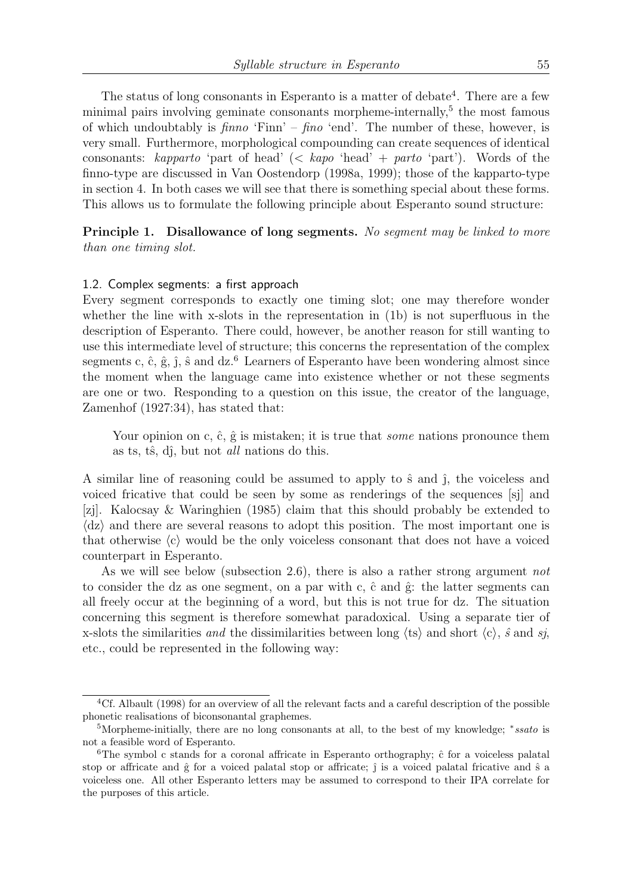The status of long consonants in Esperanto is a matter of debate<sup>4</sup>. There are a few minimal pairs involving geminate consonants morpheme-internally, $5$  the most famous of which undoubtably is  $finno$  'Finn' –  $fino$  'end'. The number of these, however, is very small. Furthermore, morphological compounding can create sequences of identical consonants: kapparto 'part of head'  $\langle \langle kap \rangle$  'head' + parto 'part'). Words of the finno-type are discussed in Van Oostendorp (1998a, 1999); those of the kapparto-type in section 4. In both cases we will see that there is something special about these forms. This allows us to formulate the following principle about Esperanto sound structure:

Principle 1. Disallowance of long segments. No seqment may be linked to more than one timing slot.

#### 1.2. Complex segments: a first approach

Every segment corresponds to exactly one timing slot; one may therefore wonder whether the line with x-slots in the representation in (1b) is not superfluous in the description of Esperanto. There could, however, be another reason for still wanting to use this intermediate level of structure; this concerns the representation of the complex segments c,  $\hat{c}$ ,  $\hat{g}$ ,  $\hat{j}$ ,  $\hat{s}$  and dz.<sup>6</sup> Learners of Esperanto have been wondering almost since the moment when the language came into existence whether or not these segments are one or two. Responding to a question on this issue, the creator of the language, Zamenhof (1927:34), has stated that:

Your opinion on c,  $\hat{c}$ ,  $\hat{g}$  is mistaken; it is true that *some* nations pronounce them as ts, ts, dĵ, but not *all* nations do this.

A similar line of reasoning could be assumed to apply to  $\hat{s}$  and  $\hat{\textit{i}}$ , the voiceless and voiced fricative that could be seen by some as renderings of the sequences [sj] and [zj]. Kalocsay & Waringhien (1985) claim that this should probably be extended to  $\langle dz \rangle$  and there are several reasons to adopt this position. The most important one is that otherwise  $\langle c \rangle$  would be the only voiceless consonant that does not have a voiced counterpart in Esperanto.

As we will see below (subsection 2.6), there is also a rather strong argument not to consider the dz as one segment, on a par with c,  $\hat{c}$  and  $\hat{g}$ : the latter segments can all freely occur at the beginning of a word, but this is not true for dz. The situation concerning this segment is therefore somewhat paradoxical. Using a separate tier of x-slots the similarities and the dissimilarities between long  $\langle$ ts $\rangle$  and short  $\langle$ c $\rangle$ ,  $\hat{s}$  and sj, etc., could be represented in the following way:

<sup>4</sup>Cf. Albault (1998) for an overview of all the relevant facts and a careful description of the possible phonetic realisations of biconsonantal graphemes.

<sup>&</sup>lt;sup>5</sup>Morpheme-initially, there are no long consonants at all, to the best of my knowledge; \*ssato is not a feasible word of Esperanto.

<sup>&</sup>lt;sup>6</sup>The symbol c stands for a coronal affricate in Esperanto orthography;  $\hat{c}$  for a voiceless palatal stop or affricate and  $\hat{g}$  for a voiced palatal stop or affricate;  $\hat{j}$  is a voiced palatal fricative and  $\hat{s}$  a voiceless one. All other Esperanto letters may be assumed to correspond to their IPA correlate for the purposes of this article.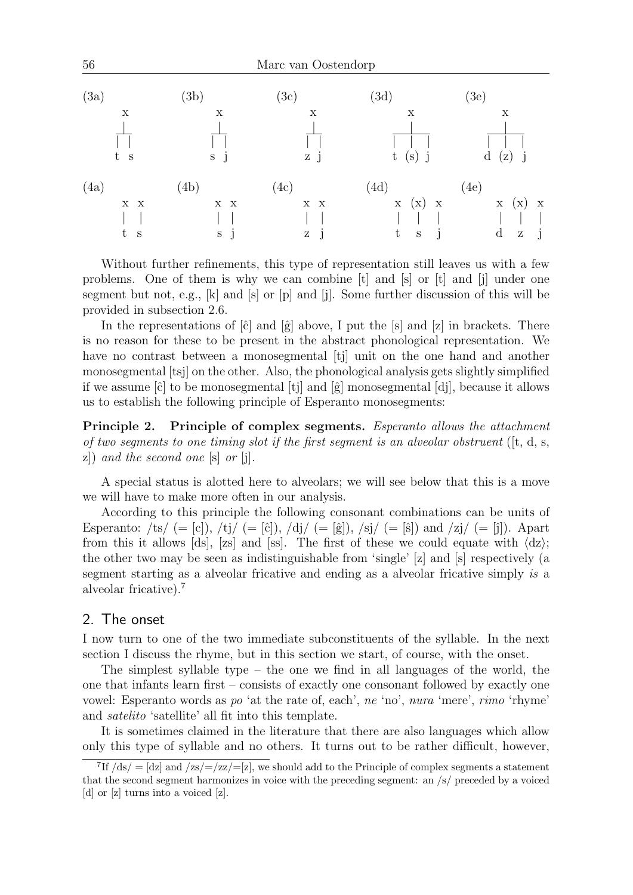

Without further refinements, this type of representation still leaves us with a few problems. One of them is why we can combine [t] and [s] or [t] and [j] under one segment but not, e.g., [k] and [s] or [p] and [j]. Some further discussion of this will be provided in subsection 2.6.

In the representations of  $[\hat{c}]$  and  $[\hat{g}]$  above, I put the  $[s]$  and  $[z]$  in brackets. There is no reason for these to be present in the abstract phonological representation. We have no contrast between a monosegmental [tj] unit on the one hand and another monosegmental [tsj] on the other. Also, the phonological analysis gets slightly simplified if we assume  $[\hat{c}]$  to be monosegmental  $[ti]$  and  $[\hat{g}]$  monosegmental  $[di]$ , because it allows us to establish the following principle of Esperanto monosegments:

Principle 2. Principle of complex segments. Esperanto allows the attachment of two segments to one timing slot if the first segment is an alveolar obstruent ( $[t, d, s,$  $z$ ) and the second one  $[s]$  or  $[j]$ .

A special status is alotted here to alveolars; we will see below that this is a move we will have to make more often in our analysis.

According to this principle the following consonant combinations can be units of Esperanto: /ts/ (= [c]), /tj/ (= [ĉ]), /dj/ (= [ĝ]), /sj/ (= [ŝ]) and /zj/ (= [ĵ]). Apart from this it allows [ds], [zs] and [ss]. The first of these we could equate with  $\langle dz \rangle$ ; the other two may be seen as indistinguishable from 'single' [z] and [s] respectively (a segment starting as a alveolar fricative and ending as a alveolar fricative simply is a alveolar fricative).<sup>7</sup>

# 2. The onset

I now turn to one of the two immediate subconstituents of the syllable. In the next section I discuss the rhyme, but in this section we start, of course, with the onset.

The simplest syllable type – the one we find in all languages of the world, the one that infants learn first – consists of exactly one consonant followed by exactly one vowel: Esperanto words as po 'at the rate of, each', ne 'no', nura 'mere', rimo 'rhyme' and satelito 'satellite' all fit into this template.

It is sometimes claimed in the literature that there are also languages which allow only this type of syllable and no others. It turns out to be rather difficult, however,

<sup>&</sup>lt;sup>7</sup>If  $\frac{ds}{ds} = \frac{dz}{\text{ and } zs} = \frac{z}{z} = \frac{z}{z}$ , we should add to the Principle of complex segments a statement that the second segment harmonizes in voice with the preceding segment: an /s/ preceded by a voiced [d] or [z] turns into a voiced [z].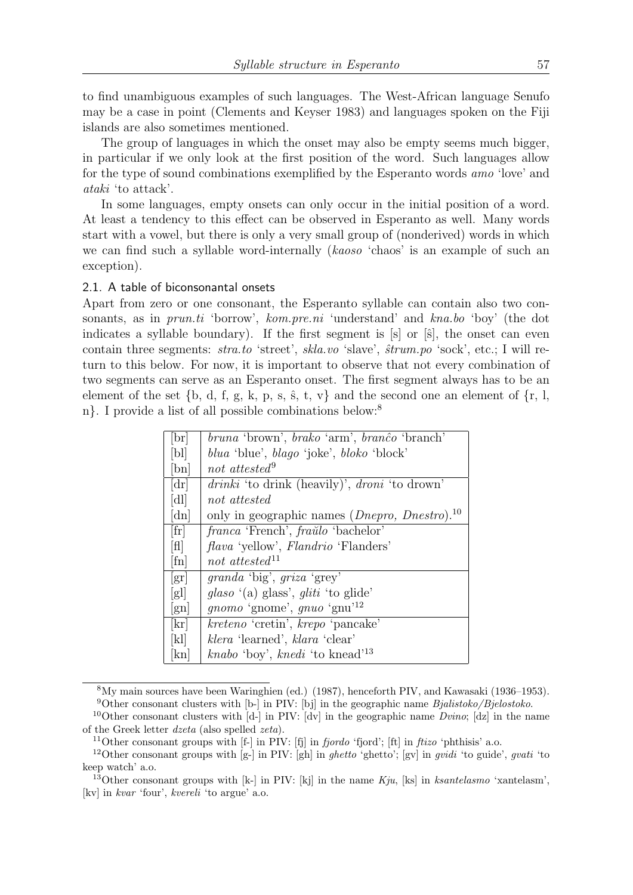to find unambiguous examples of such languages. The West-African language Senufo may be a case in point (Clements and Keyser 1983) and languages spoken on the Fiji islands are also sometimes mentioned.

The group of languages in which the onset may also be empty seems much bigger, in particular if we only look at the first position of the word. Such languages allow for the type of sound combinations exemplified by the Esperanto words amo 'love' and ataki 'to attack'.

In some languages, empty onsets can only occur in the initial position of a word. At least a tendency to this effect can be observed in Esperanto as well. Many words start with a vowel, but there is only a very small group of (nonderived) words in which we can find such a syllable word-internally (kaoso 'chaos' is an example of such an exception).

# 2.1. A table of biconsonantal onsets

Apart from zero or one consonant, the Esperanto syllable can contain also two consonants, as in *prun.ti* 'borrow', *kom.pre.ni* 'understand' and *kna.bo* 'boy' (the dot indicates a syllable boundary). If the first segment is  $[s]$  or  $[\hat{s}]$ , the onset can even contain three segments: *stra.to* 'street', *skla.vo* 'slave',  $\hat{strum}$ .po 'sock', etc.; I will return to this below. For now, it is important to observe that not every combination of two segments can serve as an Esperanto onset. The first segment always has to be an element of the set  $\{b, d, f, g, k, p, s, \hat{s}, t, v\}$  and the second one an element of  $\{r, l, s, d, d, d, s, s, s, t, w\}$ n}. I provide a list of all possible combinations below:<sup>8</sup>

| [br]                             | bruna 'brown', brako 'arm', branco 'branch'                                |
|----------------------------------|----------------------------------------------------------------------------|
| [b]                              | <i>blua</i> 'blue', <i>blago</i> 'joke', <i>bloko</i> 'block'              |
| $[\text{bn}]$                    | not attested <sup>9</sup>                                                  |
| [dr]                             | <i>drinki</i> 'to drink (heavily)', <i>droni</i> 'to drown'                |
| [d]                              | not attested                                                               |
| [dn]                             | only in geographic names ( <i>Dnepro</i> , <i>Dnestro</i> ). <sup>10</sup> |
| [fr]                             | franca 'French', fraŭlo 'bachelor'                                         |
| [H]                              | <i>flava</i> 'yellow', <i>Flandrio</i> 'Flanders'                          |
| $[\text{fn}]$                    | not attested <sup>11</sup>                                                 |
| $\left[\operatorname{gr}\right]$ | <i>granda</i> 'big', <i>griza</i> 'grey'                                   |
| [g]                              | glaso (a) glass', gliti'to glide'                                          |
| $\lbrack \text{gn} \rbrack$      | <i>gnomo</i> 'gnome', <i>gnuo</i> 'gnu <sup>12</sup>                       |
| $[\mathrm{kr}]$                  | kreteno 'cretin', krepo 'pancake'                                          |
| [k]                              | klera 'learned', klara 'clear'                                             |
| kn                               | <i>knabo</i> 'boy', <i>knedi</i> 'to knead' <sup>13</sup>                  |

<sup>8</sup>My main sources have been Waringhien (ed.) (1987), henceforth PIV, and Kawasaki (1936–1953). <sup>9</sup>Other consonant clusters with [b-] in PIV: [bj] in the geographic name  $Bjalistoko/Bjelostoko$ .

<sup>&</sup>lt;sup>10</sup>Other consonant clusters with  $[d-]$  in PIV:  $[dv]$  in the geographic name *Dvino*;  $[dz]$  in the name of the Greek letter dzeta (also spelled zeta).

<sup>&</sup>lt;sup>11</sup>Other consonant groups with  $[f-]$  in PIV:  $[f\hat{j}]$  in *fjordo* 'fjord';  $[f\hat{k}]$  in *ftizo* 'phthisis' a.o.

<sup>&</sup>lt;sup>12</sup>Other consonant groups with [g-] in PIV: [gh] in *ghetto* 'ghetto'; [gv] in *gvidi* 'to guide', *gvati* 'to keep watch' a.o.

<sup>&</sup>lt;sup>13</sup>Other consonant groups with  $[k-]$  in PIV:  $[k]$  in the name  $Kju$ ,  $[ks]$  in ksantelasmo 'xantelasm', [kv] in kvar 'four', kvereli 'to argue' a.o.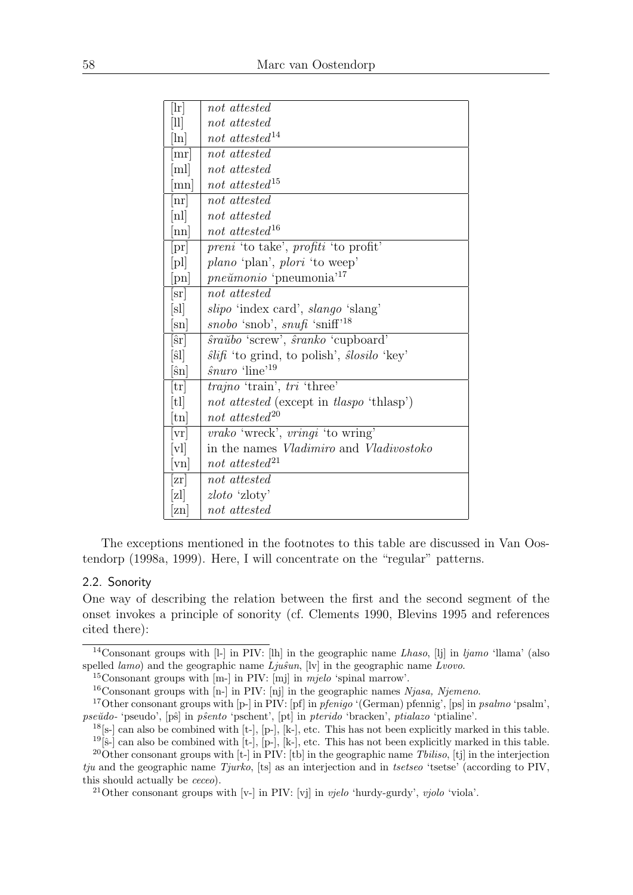| [ln]                           | not attested                                                    |
|--------------------------------|-----------------------------------------------------------------|
| $[11]$                         | not attested                                                    |
| $\lceil \ln \rceil$            | not attested <sup>14</sup>                                      |
| mr                             | not attested                                                    |
| $\lfloor m \rfloor$            | not attested                                                    |
| $\lceil mn \rceil$             | not attested <sup>15</sup>                                      |
| $\lfloor nr \rfloor$           | not attested                                                    |
| [n]                            | not attested                                                    |
| nn                             | not attested <sup>16</sup>                                      |
| pr                             | <i>preni</i> 'to take', <i>profiti</i> 'to profit'              |
| p                              | <i>plano</i> 'plan', <i>plori</i> 'to weep'                     |
| $[\text{pn}]$                  | <i>pneŭmonio</i> 'pneumonia' <sup>17</sup>                      |
| sr                             | not attested                                                    |
| $ \mathrm{s}l $                | slipo 'index card', slango 'slang'                              |
| $ \mathrm{sn} $                | snobo 'snob', snufi 'sniff' <sup>18</sup>                       |
| $ \hat{\textrm{s}}\textrm{r} $ | <i>sraŭbo</i> 'screw', <i>sranko</i> 'cupboard'                 |
| $[\hat{\textrm{s}}]$           | $\hat{s}li\hat{h}$ 'to grind, to polish', $\hat{s}losilo$ 'key' |
| $[\hat{\textrm{sn}}]$          | $\hat{\mathit{suuro}}$ 'line' <sup>19</sup>                     |
| $ \mathrm{tr} $                | <i>trajno</i> 'train', tri 'three'                              |
| [t]                            | not attested (except in tlaspo 'thlasp')                        |
| $[\text{tn}]$                  | not attested <sup>20</sup>                                      |
| vr                             | <i>vrako</i> 'wreck', <i>vringi</i> 'to wring'                  |
| v                              | in the names <i>Vladimiro</i> and <i>Vladivostoko</i>           |
| $\lceil \mathrm{vn} \rceil$    | not attested <sup>21</sup>                                      |
| x                              | not attested                                                    |
| z]                             | zloto 'zloty'                                                   |
| zn                             | not attested                                                    |

The exceptions mentioned in the footnotes to this table are discussed in Van Oostendorp (1998a, 1999). Here, I will concentrate on the "regular" patterns.

# 2.2. Sonority

One way of describing the relation between the first and the second segment of the onset invokes a principle of sonority (cf. Clements 1990, Blevins 1995 and references cited there):

<sup>15</sup>Consonant groups with [m-] in PIV: [mj] in mjelo 'spinal marrow'.

<sup>&</sup>lt;sup>14</sup>Consonant groups with [l-] in PIV: [lh] in the geographic name *Lhaso*, [lj] in  $ljamo$  'llama' (also spelled  $lamo$ ) and the geographic name  $Lju\hat{s}un$ , [lv] in the geographic name  $Lvovo$ .

 $16$ Consonant groups with  $[n-]$  in PIV: [nj] in the geographic names Njasa, Njemeno.

<sup>&</sup>lt;sup>17</sup>Other consonant groups with  $[p-]$  in PIV:  $[pf]$  in *pfenigo* '(German) pfennig',  $[ps]$  in *psalmo* 'psalm', pseŭdo- 'pseudo', [pŝ] in pŝento 'pschent', [pt] in pterido 'bracken', ptialazo 'ptialine'.

 $18$ [s-] can also be combined with [t-], [p-], [k-], etc. This has not been explicitly marked in this table.

 $19[\hat{s}-]$  can also be combined with [t-], [p-], [k-], etc. This has not been explicitly marked in this table.

<sup>&</sup>lt;sup>20</sup>Other consonant groups with  $[t-]$  in PIV: [tb] in the geographic name *Tbiliso*, [tj] in the interjection  $tju$  and the geographic name  $Tjurko$ , [ts] as an interjection and in tsetseo 'tsetse' (according to PIV, this should actually be ceceo).

<sup>&</sup>lt;sup>21</sup>Other consonant groups with  $[v-]$  in PIV:  $[vj]$  in *vjelo* 'hurdy-gurdy', *vjolo* 'viola'.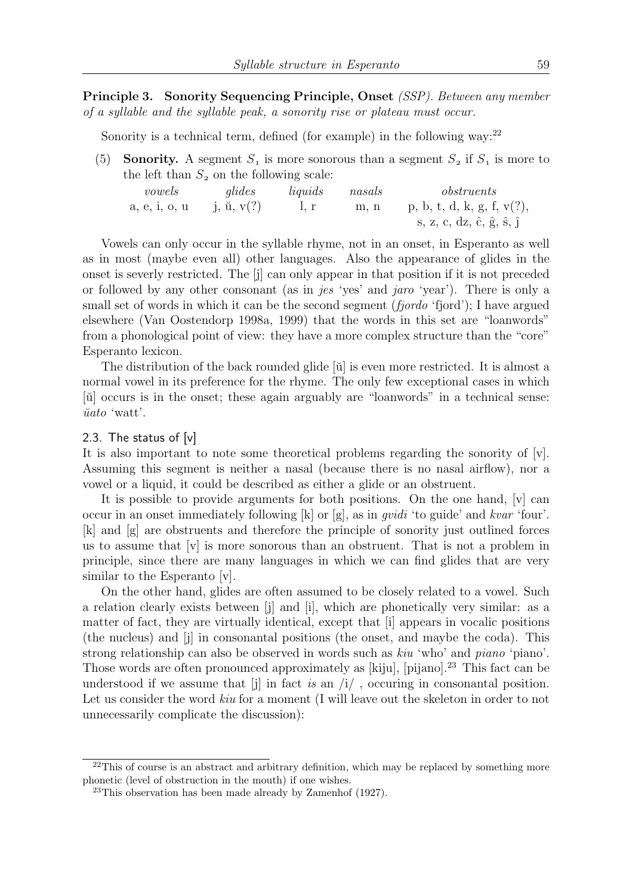Principle 3. Sonority Sequencing Principle, Onset (SSP). Between any member of a syllable and the syllable peak, a sonority rise or plateau must occur.

Sonority is a technical term, defined (for example) in the following way:<sup>22</sup>

(5) **Sonority.** A segment  $S_1$  is more sonorous than a segment  $S_2$  if  $S_1$  is more to the left than  $S_2$  on the following scale:

| vowels        | glides                 | liquids | nasals | obstruents                |
|---------------|------------------------|---------|--------|---------------------------|
| a, e, i, o, u | j, $\ddot{u}$ , $v(?)$ |         | m. n   | p, b, t, d, k, g, f, v(?) |
|               |                        |         |        | s, z, c, dz, ĉ, ĝ, ŝ, ĵ   |

Vowels can only occur in the syllable rhyme, not in an onset, in Esperanto as well as in most (maybe even all) other languages. Also the appearance of glides in the onset is severly restricted. The [j] can only appear in that position if it is not preceded or followed by any other consonant (as in jes 'yes' and jaro 'year'). There is only a small set of words in which it can be the second segment *(fjordo 'fjord')*; I have argued elsewhere (Van Oostendorp 1998a, 1999) that the words in this set are "loanwords" from a phonological point of view: they have a more complex structure than the "core" Esperanto lexicon.

The distribution of the back rounded glide  $[\tilde{u}]$  is even more restricted. It is almost a normal vowel in its preference for the rhyme. The only few exceptional cases in which [ŭ] occurs is in the onset; these again arguably are "loanwords" in a technical sense:  $\check{u}ato$  'watt'.

## 2.3. The status of [v]

It is also important to note some theoretical problems regarding the sonority of [v]. Assuming this segment is neither a nasal (because there is no nasal airflow), nor a vowel or a liquid, it could be described as either a glide or an obstruent.

It is possible to provide arguments for both positions. On the one hand, [v] can occur in an onset immediately following  $[k]$  or  $[g]$ , as in *quidi* 'to guide' and kvar 'four'. [k] and [g] are obstruents and therefore the principle of sonority just outlined forces us to assume that [v] is more sonorous than an obstruent. That is not a problem in principle, since there are many languages in which we can find glides that are very similar to the Esperanto [v].

On the other hand, glides are often assumed to be closely related to a vowel. Such a relation clearly exists between [j] and [i], which are phonetically very similar: as a matter of fact, they are virtually identical, except that [i] appears in vocalic positions (the nucleus) and [j] in consonantal positions (the onset, and maybe the coda). This strong relationship can also be observed in words such as *kiu* 'who' and *piano* 'piano'. Those words are often pronounced approximately as [kiju], [pijano].<sup>23</sup> This fact can be understood if we assume that  $[j]$  in fact is an  $/i/$  , occuring in consonantal position. Let us consider the word *kiu* for a moment (I will leave out the skeleton in order to not unnecessarily complicate the discussion):

 $^{22}$ This of course is an abstract and arbitrary definition, which may be replaced by something more phonetic (level of obstruction in the mouth) if one wishes.

<sup>23</sup>This observation has been made already by Zamenhof (1927).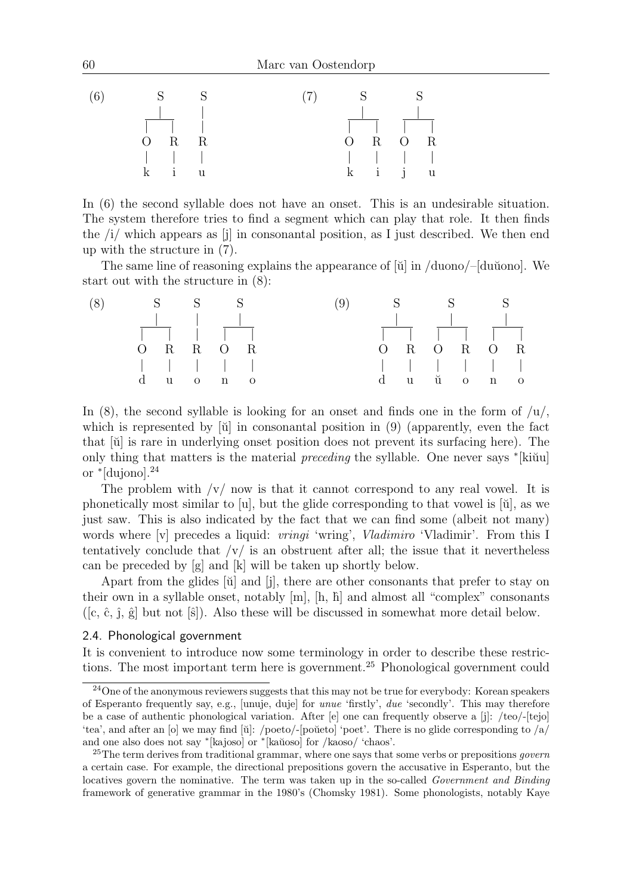

In (6) the second syllable does not have an onset. This is an undesirable situation. The system therefore tries to find a segment which can play that role. It then finds the  $\langle i \rangle$  which appears as  $[i]$  in consonantal position, as I just described. We then end up with the structure in (7).

The same line of reasoning explains the appearance of  $\ddot{u}$  in /duono/– $\ddot{d}$ du $\ddot{u}$ ono]. We start out with the structure in (8):



In  $(8)$ , the second syllable is looking for an onset and finds one in the form of  $/u/$ , which is represented by  $[\mathbf{\breve{u}}]$  in consonantal position in (9) (apparently, even the fact that [˘u] is rare in underlying onset position does not prevent its surfacing here). The only thing that matters is the material *preceding* the syllable. One never says  $*($ ki $\tilde{u}$ u or <sup>∗</sup> [dujono].<sup>24</sup>

The problem with  $\sqrt{v}$  now is that it cannot correspond to any real vowel. It is phonetically most similar to [u], but the glide corresponding to that vowel is  $[\check{u}]$ , as we just saw. This is also indicated by the fact that we can find some (albeit not many) words where [v] precedes a liquid: *vringi* 'wring', *Vladimiro* 'Vladimir'. From this I tentatively conclude that  $\sqrt{v}$  is an obstruent after all; the issue that it nevertheless can be preceded by [g] and [k] will be taken up shortly below.

Apart from the glides [ŭ] and [j], there are other consonants that prefer to stay on their own in a syllable onset, notably  $[m], [h, \hbar]$  and almost all "complex" consonants  $([c, \hat{c}, \hat{j}, \hat{g}]$  but not  $[\hat{s}]$ ). Also these will be discussed in somewhat more detail below.

## 2.4. Phonological government

It is convenient to introduce now some terminology in order to describe these restrictions. The most important term here is government.<sup>25</sup> Phonological government could

<sup>24</sup>One of the anonymous reviewers suggests that this may not be true for everybody: Korean speakers of Esperanto frequently say, e.g., [unuje, duje] for unue 'firstly', due 'secondly'. This may therefore be a case of authentic phonological variation. After [e] one can frequently observe a [j]: /teo/-[tejo] 'tea', and after an [o] we may find [ $\ddot{u}$ ]: /poeto/-[poŭeto] 'poet'. There is no glide corresponding to /a/ and one also does not say \*[kajoso] or \*[kaŭoso] for /kaoso/ 'chaos'.

<sup>&</sup>lt;sup>25</sup>The term derives from traditional grammar, where one says that some verbs or prepositions *govern* a certain case. For example, the directional prepositions govern the accusative in Esperanto, but the locatives govern the nominative. The term was taken up in the so-called Government and Binding framework of generative grammar in the 1980's (Chomsky 1981). Some phonologists, notably Kaye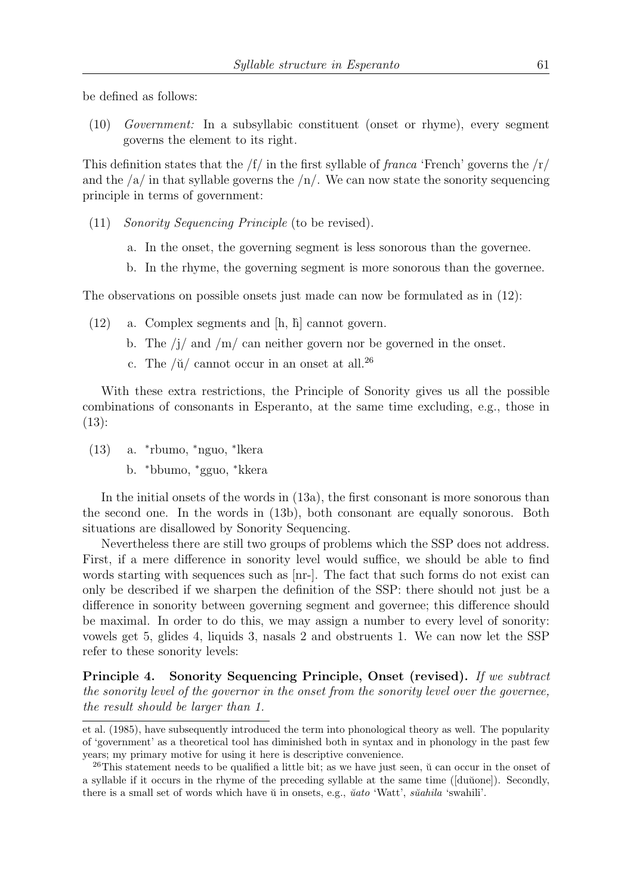be defined as follows:

(10) Government: In a subsyllabic constituent (onset or rhyme), every segment governs the element to its right.

This definition states that the  $/f/$  in the first syllable of *franca* 'French' governs the  $/r/$ and the  $\sqrt{a}$  in that syllable governs the  $\sqrt{n}$ . We can now state the sonority sequencing principle in terms of government:

- (11) Sonority Sequencing Principle (to be revised).
	- a. In the onset, the governing segment is less sonorous than the governee.
	- b. In the rhyme, the governing segment is more sonorous than the governee.

The observations on possible onsets just made can now be formulated as in (12):

- $(12)$  a. Complex segments and  $[h, h]$  cannot govern.
	- b. The  $j/m/d$  and  $/m/d$  can neither govern nor be governed in the onset.
	- c. The  $\mathrm{W}/\mathrm{u}$  cannot occur in an onset at all.<sup>26</sup>

With these extra restrictions, the Principle of Sonority gives us all the possible combinations of consonants in Esperanto, at the same time excluding, e.g., those in (13):

- (13) a. <sup>∗</sup> rbumo, <sup>∗</sup>nguo, <sup>∗</sup> lkera
	- b. <sup>∗</sup>bbumo, <sup>∗</sup>gguo, <sup>∗</sup>kkera

In the initial onsets of the words in (13a), the first consonant is more sonorous than the second one. In the words in (13b), both consonant are equally sonorous. Both situations are disallowed by Sonority Sequencing.

Nevertheless there are still two groups of problems which the SSP does not address. First, if a mere difference in sonority level would suffice, we should be able to find words starting with sequences such as [nr-]. The fact that such forms do not exist can only be described if we sharpen the definition of the SSP: there should not just be a difference in sonority between governing segment and governee; this difference should be maximal. In order to do this, we may assign a number to every level of sonority: vowels get 5, glides 4, liquids 3, nasals 2 and obstruents 1. We can now let the SSP refer to these sonority levels:

Principle 4. Sonority Sequencing Principle, Onset (revised). If we subtract the sonority level of the governor in the onset from the sonority level over the governee, the result should be larger than 1.

et al. (1985), have subsequently introduced the term into phonological theory as well. The popularity of 'government' as a theoretical tool has diminished both in syntax and in phonology in the past few years; my primary motive for using it here is descriptive convenience.

 $^{26}$ This statement needs to be qualified a little bit; as we have just seen,  $\ddot{u}$  can occur in the onset of a syllable if it occurs in the rhyme of the preceding syllable at the same time ([du˘uone]). Secondly, there is a small set of words which have  $\check{u}$  in onsets, e.g.,  $\check{u}$ ato 'Watt', s $\check{u}$ ahila 'swahili'.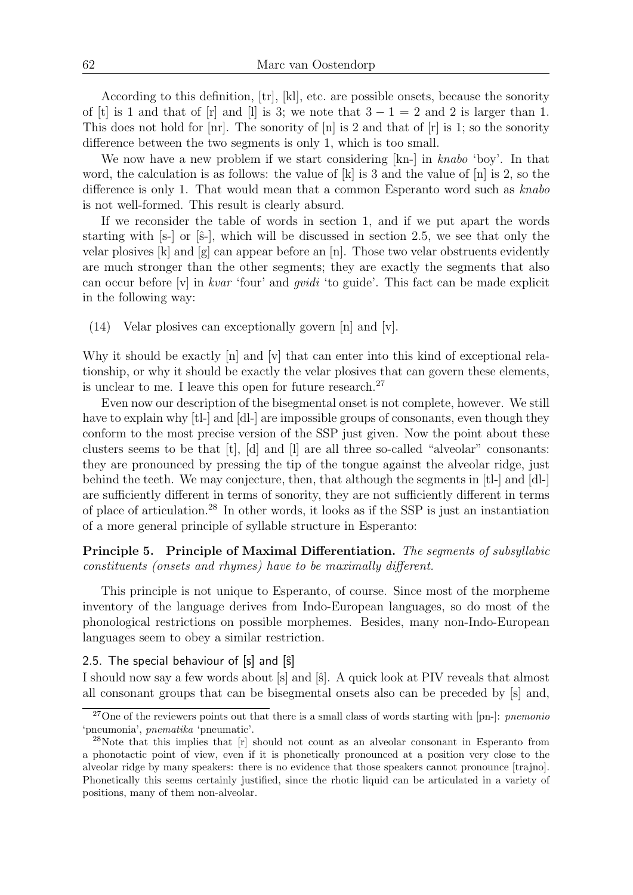According to this definition, [tr], [kl], etc. are possible onsets, because the sonority of [t] is 1 and that of [r] and [l] is 3; we note that  $3 - 1 = 2$  and 2 is larger than 1. This does not hold for  $\lfloor nr \rfloor$ . The sonority of  $\lfloor n \rfloor$  is 2 and that of  $\lfloor r \rfloor$  is 1; so the sonority difference between the two segments is only 1, which is too small.

We now have a new problem if we start considering [kn-] in knabo 'boy'. In that word, the calculation is as follows: the value of  $[k]$  is 3 and the value of  $[n]$  is 2, so the difference is only 1. That would mean that a common Esperanto word such as  $knabo$ is not well-formed. This result is clearly absurd.

If we reconsider the table of words in section 1, and if we put apart the words starting with  $[s-]$  or  $[\hat{s}$ -, which will be discussed in section 2.5, we see that only the velar plosives [k] and [g] can appear before an [n]. Those two velar obstruents evidently are much stronger than the other segments; they are exactly the segments that also can occur before  $|v|$  in *kvar* 'four' and *gvidi* 'to guide'. This fact can be made explicit in the following way:

(14) Velar plosives can exceptionally govern [n] and [v].

Why it should be exactly [n] and [v] that can enter into this kind of exceptional relationship, or why it should be exactly the velar plosives that can govern these elements, is unclear to me. I leave this open for future research.<sup>27</sup>

Even now our description of the bisegmental onset is not complete, however. We still have to explain why [tl-] and [dl-] are impossible groups of consonants, even though they conform to the most precise version of the SSP just given. Now the point about these clusters seems to be that [t], [d] and [l] are all three so-called "alveolar" consonants: they are pronounced by pressing the tip of the tongue against the alveolar ridge, just behind the teeth. We may conjecture, then, that although the segments in [tl-] and [dl-] are sufficiently different in terms of sonority, they are not sufficiently different in terms of place of articulation.<sup>28</sup> In other words, it looks as if the SSP is just an instantiation of a more general principle of syllable structure in Esperanto:

# Principle 5. Principle of Maximal Differentiation. The segments of subsyllabic constituents (onsets and rhymes) have to be maximally different.

This principle is not unique to Esperanto, of course. Since most of the morpheme inventory of the language derives from Indo-European languages, so do most of the phonological restrictions on possible morphemes. Besides, many non-Indo-European languages seem to obey a similar restriction.

2.5. The special behaviour of  $[s]$  and  $[\hat{s}]$ 

I should now say a few words about [s] and [s]. A quick look at PIV reveals that almost all consonant groups that can be bisegmental onsets also can be preceded by [s] and,

<sup>&</sup>lt;sup>27</sup>One of the reviewers points out that there is a small class of words starting with [pn-]: *pnemonio* 'pneumonia', pnematika 'pneumatic'.

<sup>&</sup>lt;sup>28</sup>Note that this implies that [r] should not count as an alveolar consonant in Esperanto from a phonotactic point of view, even if it is phonetically pronounced at a position very close to the alveolar ridge by many speakers: there is no evidence that those speakers cannot pronounce [trajno]. Phonetically this seems certainly justified, since the rhotic liquid can be articulated in a variety of positions, many of them non-alveolar.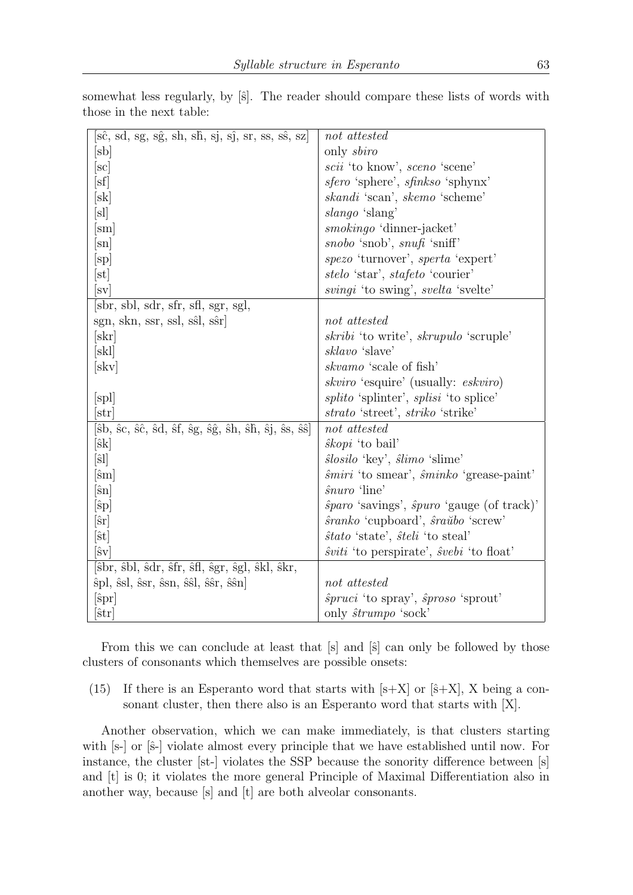| $[\hat{\text{sc}}, \text{sd}, \text{sg}, \text{sg}, \text{sh}, \text{sh}, \text{sj}, \text{sj}, \text{sr}, \text{ss}, \text{ss}, \text{sz}]$                                                                                             | not attested                                                |
|------------------------------------------------------------------------------------------------------------------------------------------------------------------------------------------------------------------------------------------|-------------------------------------------------------------|
| $[\mathrm{sb}]$                                                                                                                                                                                                                          | only sbiro                                                  |
| $[\mathrm{sc}]$                                                                                                                                                                                                                          | scii 'to know', sceno 'scene'                               |
| $[\mathrm{sf}]$                                                                                                                                                                                                                          | sfero 'sphere', sfinkso 'sphynx'                            |
| $ \rm{sk} $                                                                                                                                                                                                                              | skandi 'scan', skemo 'scheme'                               |
| [s]                                                                                                                                                                                                                                      | slango 'slang'                                              |
| sm                                                                                                                                                                                                                                       | <i>smokingo</i> 'dinner-jacket'                             |
| $ \mathrm{sn} $                                                                                                                                                                                                                          | snobo 'snob', snufi 'sniff'                                 |
| $\vert$ sp $\vert$                                                                                                                                                                                                                       | spezo 'turnover', sperta 'expert'                           |
| $ \mathrm{st} $                                                                                                                                                                                                                          | stelo 'star', stafeto 'courier'                             |
| $ \mathrm{sv} $                                                                                                                                                                                                                          | svingi 'to swing', svelta 'svelte'                          |
| sbr, sbl, sdr, sfr, sfl, sgr, sgl,                                                                                                                                                                                                       |                                                             |
| sgn, skn, ssr, ssl, sst, ssr                                                                                                                                                                                                             | not attested                                                |
| $ \rm skr $                                                                                                                                                                                                                              | <i>skribi</i> 'to write', <i>skrupulo</i> 'scruple'         |
| [skl]                                                                                                                                                                                                                                    | sklavo 'slave'                                              |
| [skv]                                                                                                                                                                                                                                    | skvamo 'scale of fish'                                      |
|                                                                                                                                                                                                                                          | <i>skviro</i> 'esquire' (usually: <i>eskviro</i> )          |
| $[\mathrm{spl}]$                                                                                                                                                                                                                         | <i>splito</i> 'splinter', <i>splisi</i> 'to splice'         |
| str                                                                                                                                                                                                                                      | strato 'street', striko 'strike'                            |
| $[\hat{\rm s\bf b},\,\hat{\rm s\bf c},\,\hat{\rm s\hat c},\,\hat{\rm s\bf d},\,\hat{\rm s\bf f},\,\hat{\rm s\bf g},\,\hat{\rm s\hat g},\,\hat{\rm s\bf h},\,\hat{\rm s\bf h},\,\hat{\rm s\bf j},\,\hat{\rm s\bf s},\,\hat{\rm s\hat s}]$ | not attested                                                |
| $[\hat{\textbf{s}}\textbf{k}]$                                                                                                                                                                                                           | $\hat{s}kopi$ 'to bail'                                     |
| $[\hat{\textrm{s}}]$                                                                                                                                                                                                                     | slosilo 'key', slimo 'slime'                                |
| $[\mathrm{\hat{s}m}]$                                                                                                                                                                                                                    | $\hat{smiri}$ 'to smear', $\hat{smink}$ 'grease-paint'      |
| $[\hat{\textrm{sn}}]$                                                                                                                                                                                                                    | <i>snuro</i> 'line'                                         |
| $ \hat{\mathrm{sp}} $                                                                                                                                                                                                                    | $\hat{sp}$ aro 'savings', $\hat{sp}$ uro 'gauge (of track)' |
| $ \hat{\textrm{sr}} $                                                                                                                                                                                                                    | sranko 'cupboard', sraŭbo 'screw'                           |
| $[\hat{\mathrm{st}}]$                                                                                                                                                                                                                    | <i>stato</i> 'state', <i>steli</i> 'to steal'               |
| $[\hat{\text{s}}\text{v}]$                                                                                                                                                                                                               | $\hat{s}viti$ 'to perspirate', $\hat{s}vebi$ 'to float'     |
| [ŝbr, ŝbl, ŝdr, ŝfr, ŝfl, ŝgr, ŝgl, ŝkl, ŝkr,                                                                                                                                                                                            |                                                             |
| spl, stl, str, stn, stl, str, sten                                                                                                                                                                                                       | not attested                                                |
| $[\mathrm{spr}]$                                                                                                                                                                                                                         | $\hat{s}pruci$ 'to spray', $\hat{s}proso$ 'sprout'          |
| $ \hat{\textrm{str}} $                                                                                                                                                                                                                   | only strumpo 'sock'                                         |

somewhat less regularly, by  $[\hat{s}]$ . The reader should compare these lists of words with those in the next table:

From this we can conclude at least that  $[s]$  and  $[\hat{s}]$  can only be followed by those clusters of consonants which themselves are possible onsets:

(15) If there is an Esperanto word that starts with  $[s+X]$  or  $[\hat{s}+X]$ , X being a consonant cluster, then there also is an Esperanto word that starts with [X].

Another observation, which we can make immediately, is that clusters starting with [s-] or [s-] violate almost every principle that we have established until now. For instance, the cluster [st-] violates the SSP because the sonority difference between [s] and [t] is 0; it violates the more general Principle of Maximal Differentiation also in another way, because [s] and [t] are both alveolar consonants.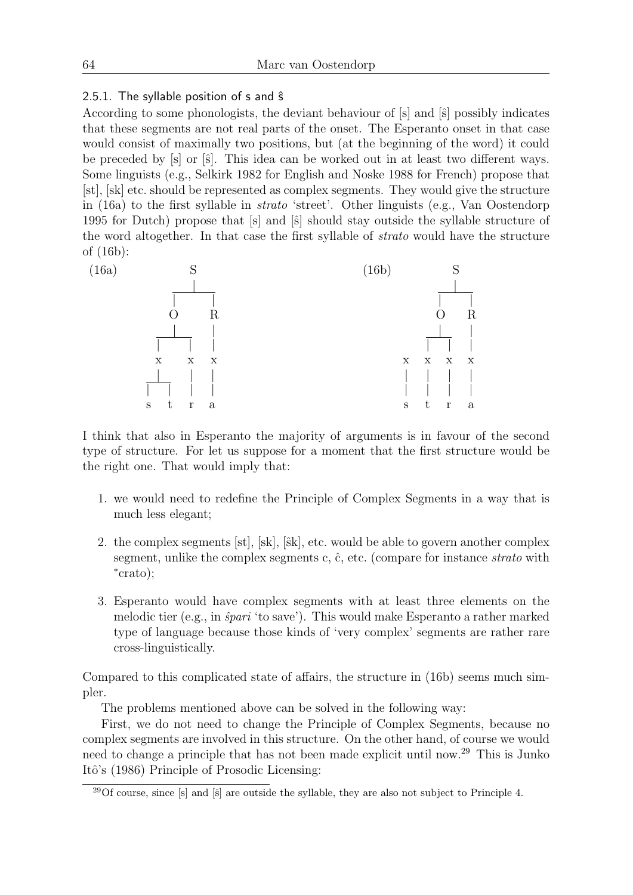# 2.5.1. The syllable position of  $s$  and  $\hat{s}$

According to some phonologists, the deviant behaviour of  $[s]$  and  $[\hat{s}]$  possibly indicates that these segments are not real parts of the onset. The Esperanto onset in that case would consist of maximally two positions, but (at the beginning of the word) it could be preceded by [s] or [s]. This idea can be worked out in at least two different ways. Some linguists (e.g., Selkirk 1982 for English and Noske 1988 for French) propose that [st], [sk] etc. should be represented as complex segments. They would give the structure in (16a) to the first syllable in strato 'street'. Other linguists (e.g., Van Oostendorp 1995 for Dutch) propose that [s] and [ˆs] should stay outside the syllable structure of the word altogether. In that case the first syllable of strato would have the structure of (16b):



I think that also in Esperanto the majority of arguments is in favour of the second type of structure. For let us suppose for a moment that the first structure would be the right one. That would imply that:

- 1. we would need to redefine the Principle of Complex Segments in a way that is much less elegant;
- 2. the complex segments [st], [sk], [sk], etc. would be able to govern another complex segment, unlike the complex segments c,  $\hat{c}$ , etc. (compare for instance *strato* with ∗ crato);
- 3. Esperanto would have complex segments with at least three elements on the melodic tier (e.g., in  $\hat{spari}$  'to save'). This would make Esperanto a rather marked type of language because those kinds of 'very complex' segments are rather rare cross-linguistically.

Compared to this complicated state of affairs, the structure in (16b) seems much simpler.

The problems mentioned above can be solved in the following way:

First, we do not need to change the Principle of Complex Segments, because no complex segments are involved in this structure. On the other hand, of course we would need to change a principle that has not been made explicit until now.<sup>29</sup> This is Junko Itô's (1986) Principle of Prosodic Licensing:

 $^{29}$ Of course, since  $[s]$  and  $[\hat{s}]$  are outside the syllable, they are also not subject to Principle 4.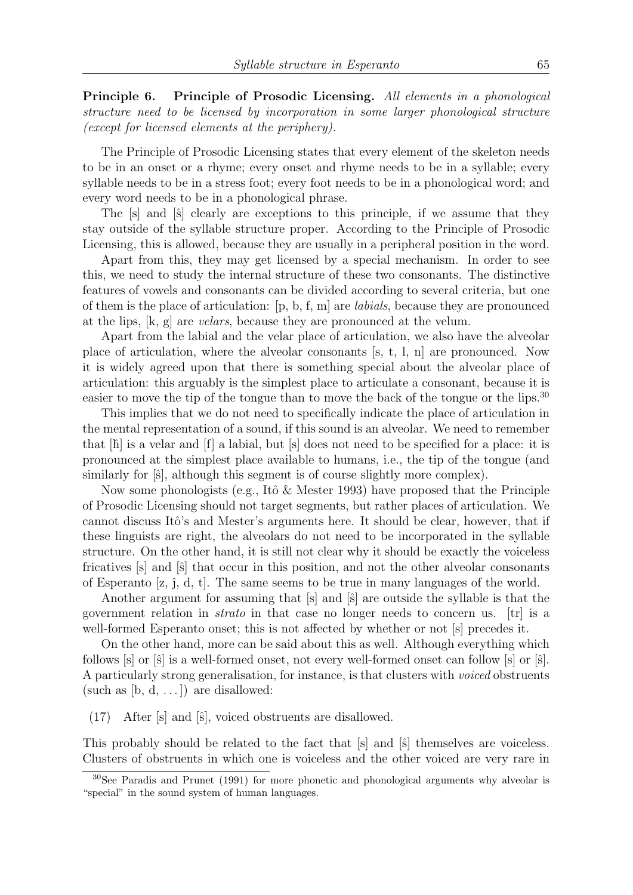Principle 6. Principle of Prosodic Licensing. All elements in a phonological structure need to be licensed by incorporation in some larger phonological structure (except for licensed elements at the periphery).

The Principle of Prosodic Licensing states that every element of the skeleton needs to be in an onset or a rhyme; every onset and rhyme needs to be in a syllable; every syllable needs to be in a stress foot; every foot needs to be in a phonological word; and every word needs to be in a phonological phrase.

The  $[s]$  and  $[\hat{s}]$  clearly are exceptions to this principle, if we assume that they stay outside of the syllable structure proper. According to the Principle of Prosodic Licensing, this is allowed, because they are usually in a peripheral position in the word.

Apart from this, they may get licensed by a special mechanism. In order to see this, we need to study the internal structure of these two consonants. The distinctive features of vowels and consonants can be divided according to several criteria, but one of them is the place of articulation:  $[p, b, f, m]$  are *labials*, because they are pronounced at the lips, [k, g] are velars, because they are pronounced at the velum.

Apart from the labial and the velar place of articulation, we also have the alveolar place of articulation, where the alveolar consonants [s, t, l, n] are pronounced. Now it is widely agreed upon that there is something special about the alveolar place of articulation: this arguably is the simplest place to articulate a consonant, because it is easier to move the tip of the tongue than to move the back of the tongue or the lips.<sup>30</sup>

This implies that we do not need to specifically indicate the place of articulation in the mental representation of a sound, if this sound is an alveolar. We need to remember that  $[\hat{h}]$  is a velar and  $[f]$  a labial, but  $[s]$  does not need to be specified for a place: it is pronounced at the simplest place available to humans, i.e., the tip of the tongue (and similarly for  $[\hat{s}]$ , although this segment is of course slightly more complex).

Now some phonologists (e.g., Itô & Mester 1993) have proposed that the Principle of Prosodic Licensing should not target segments, but rather places of articulation. We cannot discuss Itô's and Mester's arguments here. It should be clear, however, that if these linguists are right, the alveolars do not need to be incorporated in the syllable structure. On the other hand, it is still not clear why it should be exactly the voiceless fricatives  $[s]$  and  $[\hat{s}]$  that occur in this position, and not the other alveolar consonants of Esperanto  $[z, \hat{j}, d, t]$ . The same seems to be true in many languages of the world.

Another argument for assuming that [s] and [s] are outside the syllable is that the government relation in *strato* in that case no longer needs to concern us.  $[tr]$  is a well-formed Esperanto onset; this is not affected by whether or not [s] precedes it.

On the other hand, more can be said about this as well. Although everything which follows  $[s]$  or  $[\hat{s}]$  is a well-formed onset, not every well-formed onset can follow  $[s]$  or  $[\hat{s}]$ . A particularly strong generalisation, for instance, is that clusters with voiced obstruents (such as  $[b, d, \ldots]$ ) are disallowed:

 $(17)$  After [s] and [s], voiced obstruents are disallowed.

This probably should be related to the fact that  $[s]$  and  $[\hat{s}]$  themselves are voiceless. Clusters of obstruents in which one is voiceless and the other voiced are very rare in

<sup>30</sup>See Paradis and Prunet (1991) for more phonetic and phonological arguments why alveolar is "special" in the sound system of human languages.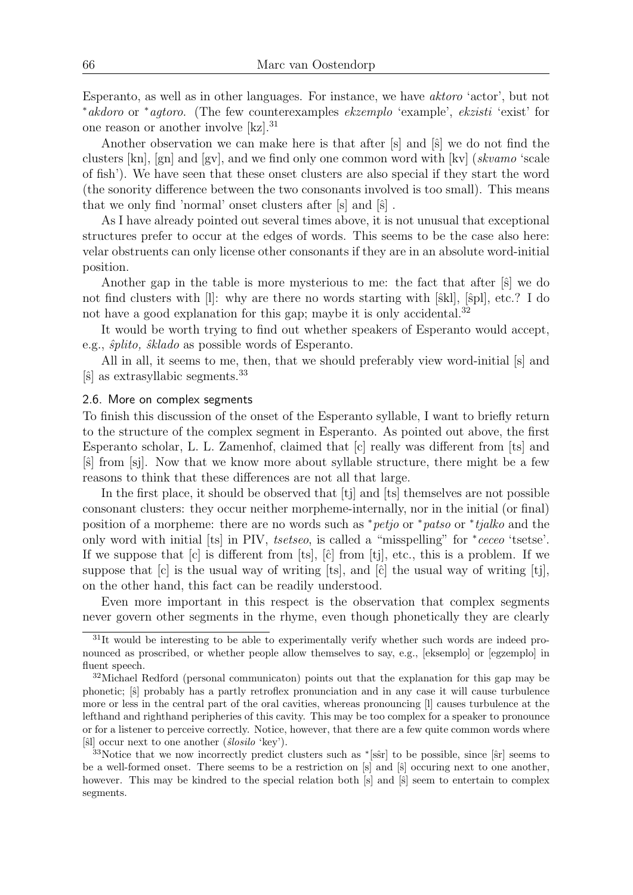Esperanto, as well as in other languages. For instance, we have aktoro 'actor', but not <sup>∗</sup>akdoro or <sup>∗</sup>agtoro. (The few counterexamples ekzemplo 'example', ekzisti 'exist' for one reason or another involve [kz].<sup>31</sup>

Another observation we can make here is that after  $[s]$  and  $[\hat{s}]$  we do not find the clusters  $[kn]$ ,  $[gn]$  and  $[gv]$ , and we find only one common word with  $[kv]$  (skvamo 'scale of fish'). We have seen that these onset clusters are also special if they start the word (the sonority difference between the two consonants involved is too small). This means that we only find 'normal' onset clusters after  $[s]$  and  $[\hat{s}]$ .

As I have already pointed out several times above, it is not unusual that exceptional structures prefer to occur at the edges of words. This seems to be the case also here: velar obstruents can only license other consonants if they are in an absolute word-initial position.

Another gap in the table is more mysterious to me: the fact that after  $|\hat{s}|$  we do not find clusters with  $[1]$ : why are there no words starting with  $[\hat{s}kl]$ ,  $[\hat{s}pl]$ , etc.? I do not have a good explanation for this gap; maybe it is only accidental. $32$ 

It would be worth trying to find out whether speakers of Esperanto would accept, e.g.,  $\hat{s}plito$ ,  $\hat{s}klado$  as possible words of Esperanto.

All in all, it seems to me, then, that we should preferably view word-initial [s] and  $|\hat{s}|$  as extrasyllabic segments.<sup>33</sup>

## 2.6. More on complex segments

To finish this discussion of the onset of the Esperanto syllable, I want to briefly return to the structure of the complex segment in Esperanto. As pointed out above, the first Esperanto scholar, L. L. Zamenhof, claimed that [c] really was different from [ts] and [ˆs] from [sj]. Now that we know more about syllable structure, there might be a few reasons to think that these differences are not all that large.

In the first place, it should be observed that [tj] and [ts] themselves are not possible consonant clusters: they occur neither morpheme-internally, nor in the initial (or final) position of a morpheme: there are no words such as \**petjo* or \**patso* or \**tjalko* and the only word with initial [ts] in PIV, tsetseo, is called a "misspelling" for  $*ceceo$  'tsetse'. If we suppose that  $[c]$  is different from  $[ts]$ ,  $[\hat{c}]$  from  $[tj]$ , etc., this is a problem. If we suppose that  $[c]$  is the usual way of writing  $[ts]$ , and  $[\hat{c}]$  the usual way of writing  $[tj]$ , on the other hand, this fact can be readily understood.

Even more important in this respect is the observation that complex segments never govern other segments in the rhyme, even though phonetically they are clearly

<sup>&</sup>lt;sup>31</sup>It would be interesting to be able to experimentally verify whether such words are indeed pronounced as proscribed, or whether people allow themselves to say, e.g., [eksemplo] or [egzemplo] in fluent speech.

<sup>32</sup>Michael Redford (personal communicaton) points out that the explanation for this gap may be phonetic;  $[\hat{s}]$  probably has a partly retroflex pronunciation and in any case it will cause turbulence more or less in the central part of the oral cavities, whereas pronouncing [l] causes turbulence at the lefthand and righthand peripheries of this cavity. This may be too complex for a speaker to pronounce or for a listener to perceive correctly. Notice, however, that there are a few quite common words where [ŝl] occur next to one another  $(\hat{s}losilo \text{ 'kev}).$ 

 $33\text{Notice that we now incorrectly predict clusters such as *[s\hat{s}r] to be possible, since [s\hat{s}r] seems to$ be a well-formed onset. There seems to be a restriction on [s] and [s] occuring next to one another, however. This may be kindred to the special relation both  $[s]$  and  $[\hat{s}]$  seem to entertain to complex segments.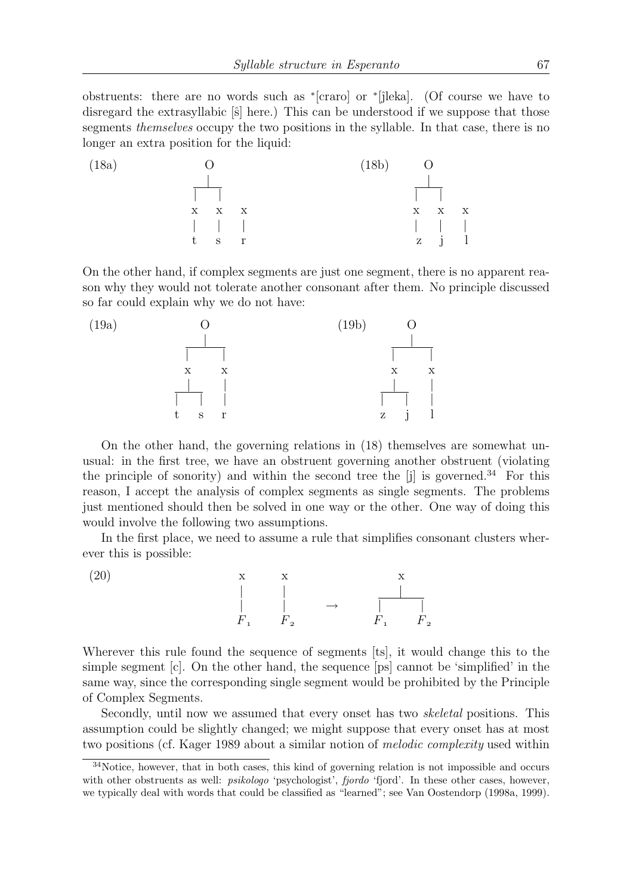obstruents: there are no words such as \*[craro] or \*[jleka]. (Of course we have to disregard the extrasyllabic  $[\hat{s}]$  here.) This can be understood if we suppose that those segments *themselves* occupy the two positions in the syllable. In that case, there is no longer an extra position for the liquid:



On the other hand, if complex segments are just one segment, there is no apparent reason why they would not tolerate another consonant after them. No principle discussed so far could explain why we do not have:



On the other hand, the governing relations in (18) themselves are somewhat unusual: in the first tree, we have an obstruent governing another obstruent (violating the principle of sonority) and within the second tree the  $[i]$  is governed.<sup>34</sup> For this reason, I accept the analysis of complex segments as single segments. The problems just mentioned should then be solved in one way or the other. One way of doing this would involve the following two assumptions.

In the first place, we need to assume a rule that simplifies consonant clusters wherever this is possible:



Wherever this rule found the sequence of segments [ts], it would change this to the simple segment [c]. On the other hand, the sequence [ps] cannot be 'simplified' in the same way, since the corresponding single segment would be prohibited by the Principle of Complex Segments.

Secondly, until now we assumed that every onset has two skeletal positions. This assumption could be slightly changed; we might suppose that every onset has at most two positions (cf. Kager 1989 about a similar notion of melodic complexity used within

<sup>&</sup>lt;sup>34</sup>Notice, however, that in both cases, this kind of governing relation is not impossible and occurs with other obstruents as well: *psikologo* 'psychologist', *fjordo* 'fjord'. In these other cases, however, we typically deal with words that could be classified as "learned"; see Van Oostendorp (1998a, 1999).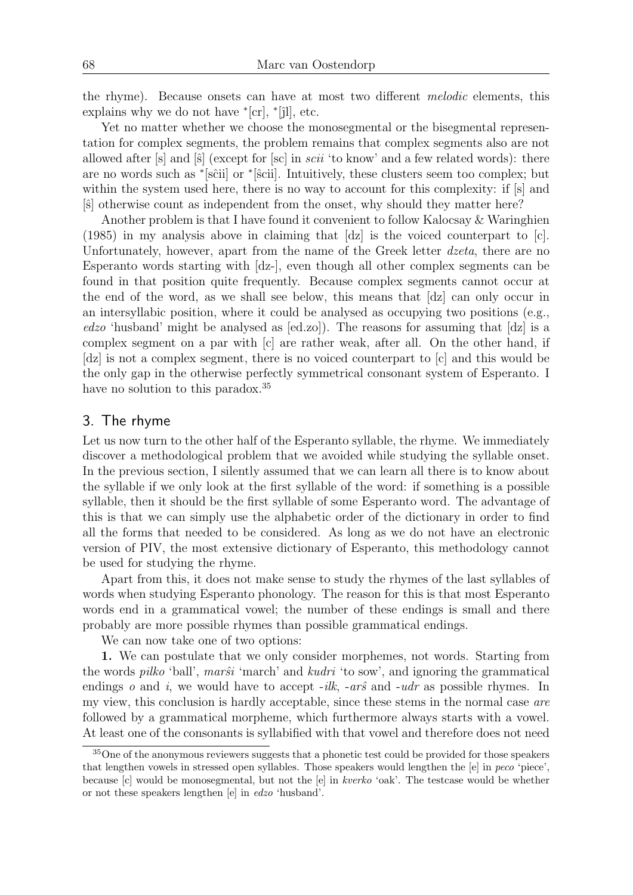the rhyme). Because onsets can have at most two different melodic elements, this explains why we do not have  $\text{*}$ [cr],  $\text{*}$ [jl], etc.

Yet no matter whether we choose the monosegmental or the bisegmental representation for complex segments, the problem remains that complex segments also are not allowed after  $[s]$  and  $[\hat{s}]$  (except for  $[sc]$  in *scii* 'to know' and a few related words): there are no words such as \*[sĉii] or \*[ŝcii]. Intuitively, these clusters seem too complex; but within the system used here, there is no way to account for this complexity: if  $[s]$  and [ˆs] otherwise count as independent from the onset, why should they matter here?

Another problem is that I have found it convenient to follow Kalocsay & Waringhien (1985) in my analysis above in claiming that [dz] is the voiced counterpart to [c]. Unfortunately, however, apart from the name of the Greek letter dzeta, there are no Esperanto words starting with [dz-], even though all other complex segments can be found in that position quite frequently. Because complex segments cannot occur at the end of the word, as we shall see below, this means that [dz] can only occur in an intersyllabic position, where it could be analysed as occupying two positions (e.g., edzo 'husband' might be analysed as [ed.zo]). The reasons for assuming that [dz] is a complex segment on a par with [c] are rather weak, after all. On the other hand, if [dz] is not a complex segment, there is no voiced counterpart to [c] and this would be the only gap in the otherwise perfectly symmetrical consonant system of Esperanto. I have no solution to this paradox.<sup>35</sup>

# 3. The rhyme

Let us now turn to the other half of the Esperanto syllable, the rhyme. We immediately discover a methodological problem that we avoided while studying the syllable onset. In the previous section, I silently assumed that we can learn all there is to know about the syllable if we only look at the first syllable of the word: if something is a possible syllable, then it should be the first syllable of some Esperanto word. The advantage of this is that we can simply use the alphabetic order of the dictionary in order to find all the forms that needed to be considered. As long as we do not have an electronic version of PIV, the most extensive dictionary of Esperanto, this methodology cannot be used for studying the rhyme.

Apart from this, it does not make sense to study the rhymes of the last syllables of words when studying Esperanto phonology. The reason for this is that most Esperanto words end in a grammatical vowel; the number of these endings is small and there probably are more possible rhymes than possible grammatical endings.

We can now take one of two options:

1. We can postulate that we only consider morphemes, not words. Starting from the words *pilko* 'ball', *marŝi* 'march' and *kudri* 'to sow', and ignoring the grammatical endings o and i, we would have to accept  $-ilk$ ,  $-ar\hat{s}$  and  $-udr$  as possible rhymes. In my view, this conclusion is hardly acceptable, since these stems in the normal case are followed by a grammatical morpheme, which furthermore always starts with a vowel. At least one of the consonants is syllabified with that vowel and therefore does not need

<sup>35</sup>One of the anonymous reviewers suggests that a phonetic test could be provided for those speakers that lengthen vowels in stressed open syllables. Those speakers would lengthen the [e] in peco 'piece', because [c] would be monosegmental, but not the [e] in kverko 'oak'. The testcase would be whether or not these speakers lengthen [e] in edzo 'husband'.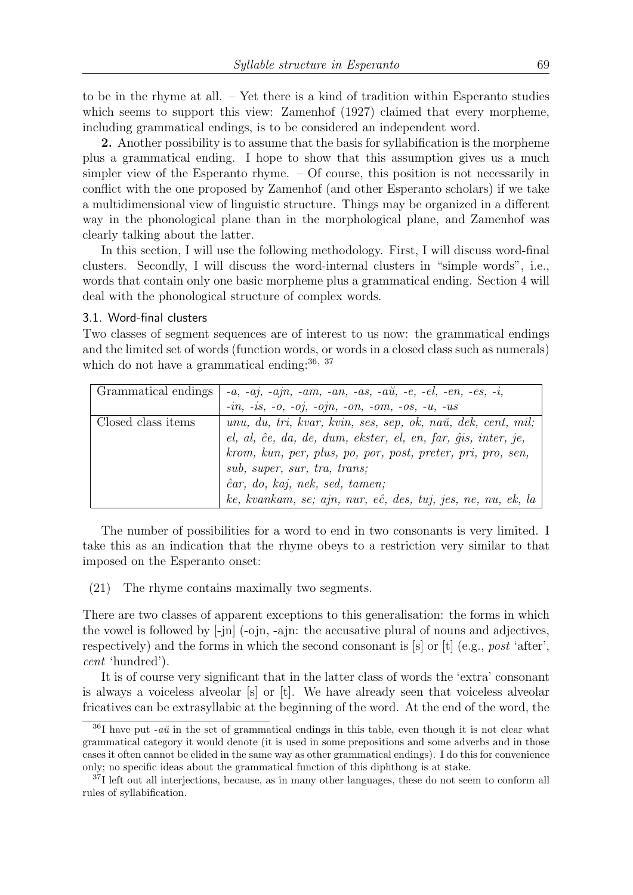to be in the rhyme at all. – Yet there is a kind of tradition within Esperanto studies which seems to support this view: Zamenhof (1927) claimed that every morpheme, including grammatical endings, is to be considered an independent word.

2. Another possibility is to assume that the basis for syllabification is the morpheme plus a grammatical ending. I hope to show that this assumption gives us a much simpler view of the Esperanto rhyme. – Of course, this position is not necessarily in conflict with the one proposed by Zamenhof (and other Esperanto scholars) if we take a multidimensional view of linguistic structure. Things may be organized in a different way in the phonological plane than in the morphological plane, and Zamenhof was clearly talking about the latter.

In this section, I will use the following methodology. First, I will discuss word-final clusters. Secondly, I will discuss the word-internal clusters in "simple words", i.e., words that contain only one basic morpheme plus a grammatical ending. Section 4 will deal with the phonological structure of complex words.

## 3.1. Word-final clusters

Two classes of segment sequences are of interest to us now: the grammatical endings and the limited set of words (function words, or words in a closed class such as numerals) which do not have a grammatical ending:  $36, 37$ 

| <b>Grammatical endings</b> | $-a, -aj, -ajn, -am, -an, -as, -aŭ, -e, -el, -en, -es, -i,$   |
|----------------------------|---------------------------------------------------------------|
|                            | $-in, -is, -o, -oj, -ojn, -on, -om, -os, -u, -us$             |
| Closed class items         | unu, du, tri, kvar, kvin, ses, sep, ok, naŭ, dek, cent, mil;  |
|                            | el, al, ĉe, da, de, dum, ekster, el, en, far, ĝis, inter, je, |
|                            | krom, kun, per, plus, po, por, post, preter, pri, pro, sen,   |
|                            | sub, super, sur, tra, trans;                                  |
|                            | ĉar, do, kaj, nek, sed, tamen;                                |
|                            | ke, kvankam, se; ajn, nur, eĉ, des, tuj, jes, ne, nu, ek, la  |

The number of possibilities for a word to end in two consonants is very limited. I take this as an indication that the rhyme obeys to a restriction very similar to that imposed on the Esperanto onset:

(21) The rhyme contains maximally two segments.

There are two classes of apparent exceptions to this generalisation: the forms in which the vowel is followed by [-jn] (-ojn, -ajn: the accusative plural of nouns and adjectives, respectively) and the forms in which the second consonant is  $[s]$  or  $[t]$  (e.g., post 'after', cent 'hundred').

It is of course very significant that in the latter class of words the 'extra' consonant is always a voiceless alveolar [s] or [t]. We have already seen that voiceless alveolar fricatives can be extrasyllabic at the beginning of the word. At the end of the word, the

 $36I$  have put -a $\ddot{u}$  in the set of grammatical endings in this table, even though it is not clear what grammatical category it would denote (it is used in some prepositions and some adverbs and in those cases it often cannot be elided in the same way as other grammatical endings). I do this for convenience only; no specific ideas about the grammatical function of this diphthong is at stake.

<sup>&</sup>lt;sup>37</sup>I left out all interjections, because, as in many other languages, these do not seem to conform all rules of syllabification.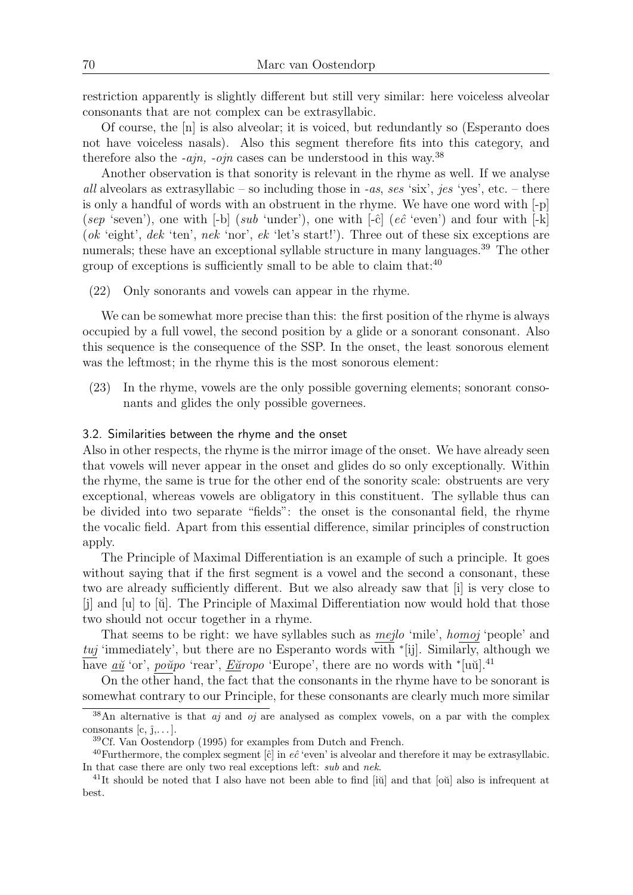restriction apparently is slightly different but still very similar: here voiceless alveolar consonants that are not complex can be extrasyllabic.

Of course, the [n] is also alveolar; it is voiced, but redundantly so (Esperanto does not have voiceless nasals). Also this segment therefore fits into this category, and therefore also the -*ajn*, -*ojn* cases can be understood in this way.<sup>38</sup>

Another observation is that sonority is relevant in the rhyme as well. If we analyse all alveolars as extrasyllabic – so including those in -as, ses 'six', jes 'yes', etc. – there is only a handful of words with an obstruent in the rhyme. We have one word with [-p] (sep 'seven'), one with  $[-b]$  (sub 'under'), one with  $\lceil -\hat{c} \rceil$  (e $\hat{c}$  'even') and four with  $\lceil -k \rceil$ (ok 'eight', dek 'ten', nek 'nor', ek 'let's start!'). Three out of these six exceptions are numerals; these have an exceptional syllable structure in many languages.<sup>39</sup> The other group of exceptions is sufficiently small to be able to claim that: $40$ 

(22) Only sonorants and vowels can appear in the rhyme.

We can be somewhat more precise than this: the first position of the rhyme is always occupied by a full vowel, the second position by a glide or a sonorant consonant. Also this sequence is the consequence of the SSP. In the onset, the least sonorous element was the leftmost; in the rhyme this is the most sonorous element:

(23) In the rhyme, vowels are the only possible governing elements; sonorant consonants and glides the only possible governees.

## 3.2. Similarities between the rhyme and the onset

Also in other respects, the rhyme is the mirror image of the onset. We have already seen that vowels will never appear in the onset and glides do so only exceptionally. Within the rhyme, the same is true for the other end of the sonority scale: obstruents are very exceptional, whereas vowels are obligatory in this constituent. The syllable thus can be divided into two separate "fields": the onset is the consonantal field, the rhyme the vocalic field. Apart from this essential difference, similar principles of construction apply.

The Principle of Maximal Differentiation is an example of such a principle. It goes without saying that if the first segment is a vowel and the second a consonant, these two are already sufficiently different. But we also already saw that [i] is very close to  $\begin{bmatrix} j \end{bmatrix}$  and  $\begin{bmatrix} u \end{bmatrix}$  to  $\begin{bmatrix} \breve{u} \end{bmatrix}$ . The Principle of Maximal Differentiation now would hold that those two should not occur together in a rhyme.

That seems to be right: we have syllables such as *mejlo* 'mile', *homoj* 'people' and tuj 'immediately', but there are no Esperanto words with  $\tilde{f}[i]$ . Similarly, although we have  $\underline{a}\underline{u}$  'or', poŭpo 'rear', Eŭropo 'Europe', there are no words with \*[uŭ].<sup>41</sup>

On the other hand, the fact that the consonants in the rhyme have to be sonorant is somewhat contrary to our Principle, for these consonants are clearly much more similar

<sup>&</sup>lt;sup>38</sup>An alternative is that *aj* and *oj* are analysed as complex vowels, on a par with the complex consonants  $[c, j, \ldots]$ .

<sup>39</sup>Cf. Van Oostendorp (1995) for examples from Dutch and French.

<sup>&</sup>lt;sup>40</sup>Furthermore, the complex segment [ĉ] in e $\hat{e}$  'even' is alveolar and therefore it may be extrasyllabic. In that case there are only two real exceptions left: sub and nek.

 $^{41}$ It should be noted that I also have not been able to find [iŭ] and that [oŭ] also is infrequent at best.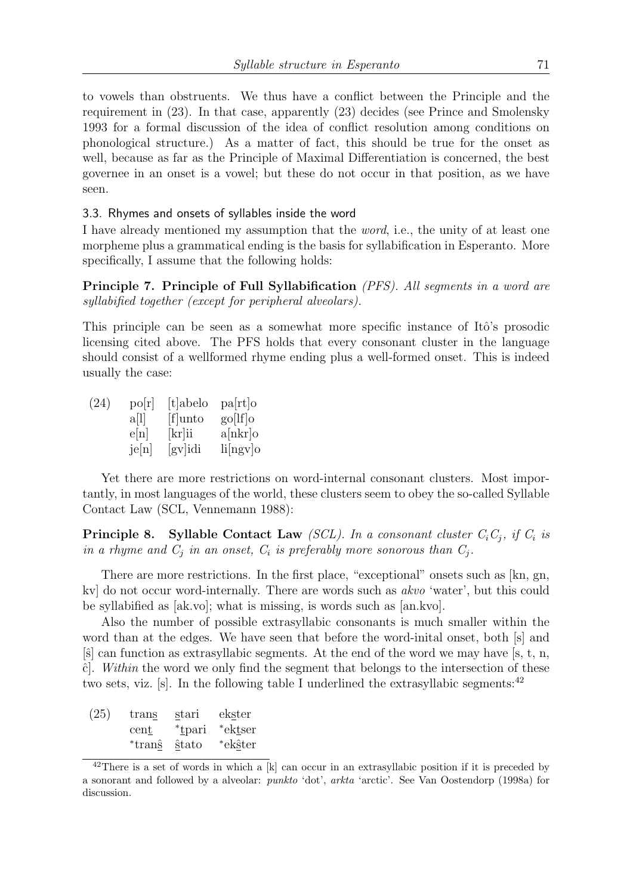to vowels than obstruents. We thus have a conflict between the Principle and the requirement in (23). In that case, apparently (23) decides (see Prince and Smolensky 1993 for a formal discussion of the idea of conflict resolution among conditions on phonological structure.) As a matter of fact, this should be true for the onset as well, because as far as the Principle of Maximal Differentiation is concerned, the best governee in an onset is a vowel; but these do not occur in that position, as we have seen.

## 3.3. Rhymes and onsets of syllables inside the word

I have already mentioned my assumption that the word, i.e., the unity of at least one morpheme plus a grammatical ending is the basis for syllabification in Esperanto. More specifically, I assume that the following holds:

Principle 7. Principle of Full Syllabification (PFS). All segments in a word are syllabified together (except for peripheral alveolars).

This principle can be seen as a somewhat more specific instance of Itô's prosodic licensing cited above. The PFS holds that every consonant cluster in the language should consist of a wellformed rhyme ending plus a well-formed onset. This is indeed usually the case:

| (24) | $\rm{po}[r]$      | [t]abelo | pa[rt]o     |
|------|-------------------|----------|-------------|
|      | a[1]              | [f]unto  | $g_0[If]_0$ |
|      | e[n]              | [kr]ii   | a[nkr]      |
|      | $j\varepsilon[n]$ | [gv]idi  | li[ngv]o    |

Yet there are more restrictions on word-internal consonant clusters. Most importantly, in most languages of the world, these clusters seem to obey the so-called Syllable Contact Law (SCL, Vennemann 1988):

**Principle 8.** Syllable Contact Law (SCL). In a consonant cluster  $C_iC_j$ , if  $C_i$  is in a rhyme and  $C_j$  in an onset,  $C_i$  is preferably more sonorous than  $C_j$ .

There are more restrictions. In the first place, "exceptional" onsets such as [kn, gn, kv] do not occur word-internally. There are words such as akvo 'water', but this could be syllabified as [ak.vo]; what is missing, is words such as [an.kvo].

Also the number of possible extrasyllabic consonants is much smaller within the word than at the edges. We have seen that before the word-inital onset, both [s] and  $[\hat{s}]$  can function as extrasyllabic segments. At the end of the word we may have  $[s, t, n]$ ,  $\hat{c}$ . Within the word we only find the segment that belongs to the intersection of these two sets, viz. [s]. In the following table I underlined the extrasyllabic segments:  $42$ 

| (25) | trans  | stari  | ekster  |
|------|--------|--------|---------|
|      | cent   | *tpari | *ektser |
|      | *trans | stato  | *ekŝter |

<sup>&</sup>lt;sup>42</sup>There is a set of words in which a  $[k]$  can occur in an extrasyllabic position if it is preceded by a sonorant and followed by a alveolar: punkto 'dot', arkta 'arctic'. See Van Oostendorp (1998a) for discussion.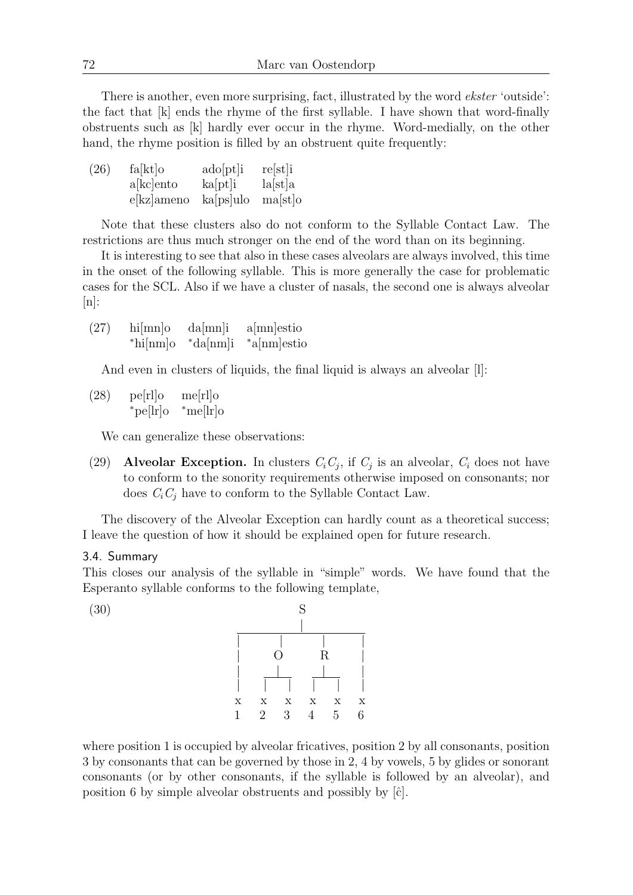There is another, even more surprising, fact, illustrated by the word *ekster* 'outside': the fact that [k] ends the rhyme of the first syllable. I have shown that word-finally obstruents such as [k] hardly ever occur in the rhyme. Word-medially, on the other hand, the rhyme position is filled by an obstruent quite frequently:

| (26) | fa[kt]o       | $\alpha$ do $[pt]$ i | $re[st]$ i |
|------|---------------|----------------------|------------|
|      | akcento       | kaspti               | a[st]a     |
|      | $e[kz]$ ameno | $ka[ps]$ ulo         | ma[st]o    |

Note that these clusters also do not conform to the Syllable Contact Law. The restrictions are thus much stronger on the end of the word than on its beginning.

It is interesting to see that also in these cases alveolars are always involved, this time in the onset of the following syllable. This is more generally the case for problematic cases for the SCL. Also if we have a cluster of nasals, the second one is always alveolar  $[n]$ :

(27) hi[mn]o da[mn]i a[mn]estio <sup>∗</sup>hi[nm]o <sup>∗</sup>da[nm]i <sup>∗</sup>a[nm]estio

And even in clusters of liquids, the final liquid is always an alveolar [1]:

 $(28)$  pe<sup>[rl]</sup>o me<sup>[rl]</sup>o <sup>∗</sup>pe[lr]o <sup>∗</sup>me[lr]o

We can generalize these observations:

(29) Alveolar Exception. In clusters  $C_i C_j$ , if  $C_j$  is an alveolar,  $C_i$  does not have to conform to the sonority requirements otherwise imposed on consonants; nor does  $C_i C_j$  have to conform to the Syllable Contact Law.

The discovery of the Alveolar Exception can hardly count as a theoretical success; I leave the question of how it should be explained open for future research.

# 3.4. Summary

This closes our analysis of the syllable in "simple" words. We have found that the Esperanto syllable conforms to the following template,



where position 1 is occupied by alveolar fricatives, position 2 by all consonants, position 3 by consonants that can be governed by those in 2, 4 by vowels, 5 by glides or sonorant consonants (or by other consonants, if the syllable is followed by an alveolar), and position 6 by simple alveolar obstruents and possibly by  $|\hat{c}|$ .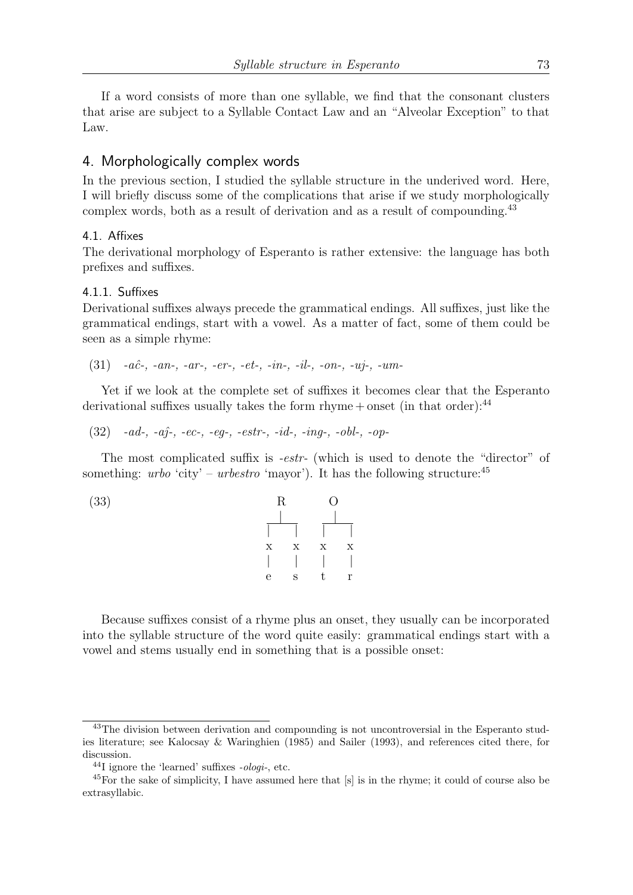If a word consists of more than one syllable, we find that the consonant clusters that arise are subject to a Syllable Contact Law and an "Alveolar Exception" to that Law.

# 4. Morphologically complex words

In the previous section, I studied the syllable structure in the underived word. Here, I will briefly discuss some of the complications that arise if we study morphologically complex words, both as a result of derivation and as a result of compounding.<sup>43</sup>

## 4.1. Affixes

The derivational morphology of Esperanto is rather extensive: the language has both prefixes and suffixes.

## 4.1.1. Suffixes

Derivational suffixes always precede the grammatical endings. All suffixes, just like the grammatical endings, start with a vowel. As a matter of fact, some of them could be seen as a simple rhyme:

 $(31)$  -aĉ-, -an-, -ar-, -er-, -et-, -in-, -il-, -on-, -uj-, -um-

Yet if we look at the complete set of suffixes it becomes clear that the Esperanto derivational suffixes usually takes the form  $r$ hyme + onset (in that order):<sup>44</sup>

 $(32)$  -ad-, -a $\hat{i}$ -, -ec-, -eq-, -estr-, -id-, -ing-, -obl-, -op-

The most complicated suffix is *-estr-* (which is used to denote the "director" of something: *urbo* 'city' – *urbestro* 'mayor'). It has the following structure:<sup>45</sup>

(33)   
\n
$$
R
$$
 O  
\n $1$   $1$   $1$   
\n $x$   $x$   $x$   $x$   
\n $1$   $1$   $1$   
\ne  $s$   $t$   $r$ 

Because suffixes consist of a rhyme plus an onset, they usually can be incorporated into the syllable structure of the word quite easily: grammatical endings start with a vowel and stems usually end in something that is a possible onset:

<sup>&</sup>lt;sup>43</sup>The division between derivation and compounding is not uncontroversial in the Esperanto studies literature; see Kalocsay & Waringhien (1985) and Sailer (1993), and references cited there, for discussion.

 $^{44}$ I ignore the 'learned' suffixes  $-ologi$ -, etc.

<sup>45</sup>For the sake of simplicity, I have assumed here that [s] is in the rhyme; it could of course also be extrasyllabic.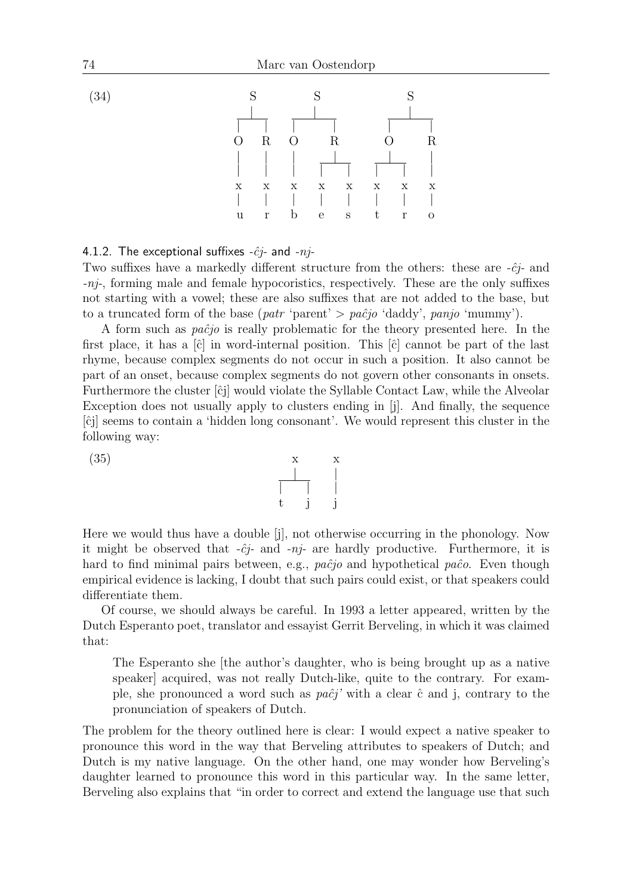

4.1.2. The exceptional suffixes  $-\hat{c}i$ - and  $-ni$ -

Two suffixes have a markedly different structure from the others: these are  $-\hat{c}j$ - and -nj-, forming male and female hypocoristics, respectively. These are the only suffixes not starting with a vowel; these are also suffixes that are not added to the base, but to a truncated form of the base (patr 'parent'  $> pa\hat{c}$ 'o 'daddy', panjo 'mummy').

A form such as  $pa\hat{c}jo$  is really problematic for the theory presented here. In the first place, it has a  $[\hat{c}]$  in word-internal position. This  $[\hat{c}]$  cannot be part of the last rhyme, because complex segments do not occur in such a position. It also cannot be part of an onset, because complex segments do not govern other consonants in onsets. Furthermore the cluster  $[\hat{c}j]$  would violate the Syllable Contact Law, while the Alveolar Exception does not usually apply to clusters ending in [j]. And finally, the sequence [ˆcj] seems to contain a 'hidden long consonant'. We would represent this cluster in the following way:

 $(35)$  x x



Here we would thus have a double [j], not otherwise occurring in the phonology. Now it might be observed that  $-\hat{c}j$ - and  $-nj$ - are hardly productive. Furthermore, it is hard to find minimal pairs between, e.g., paĉjo and hypothetical paĉo. Even though empirical evidence is lacking, I doubt that such pairs could exist, or that speakers could differentiate them.

Of course, we should always be careful. In 1993 a letter appeared, written by the Dutch Esperanto poet, translator and essayist Gerrit Berveling, in which it was claimed that:

The Esperanto she [the author's daughter, who is being brought up as a native speaker] acquired, was not really Dutch-like, quite to the contrary. For example, she pronounced a word such as  $pa\hat{c}j'$  with a clear  $\hat{c}$  and j, contrary to the pronunciation of speakers of Dutch.

The problem for the theory outlined here is clear: I would expect a native speaker to pronounce this word in the way that Berveling attributes to speakers of Dutch; and Dutch is my native language. On the other hand, one may wonder how Berveling's daughter learned to pronounce this word in this particular way. In the same letter, Berveling also explains that "in order to correct and extend the language use that such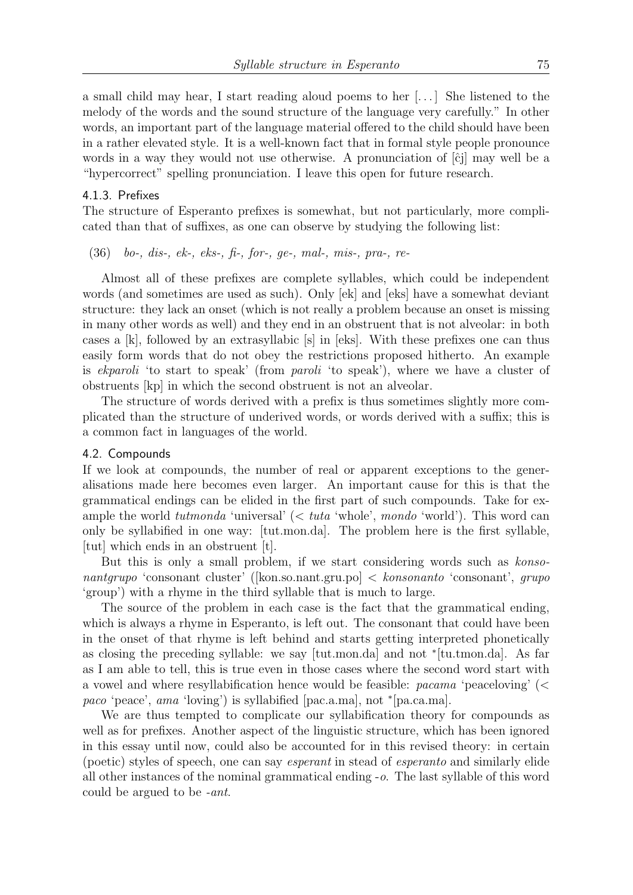a small child may hear, I start reading aloud poems to her [. . . ] She listened to the melody of the words and the sound structure of the language very carefully." In other words, an important part of the language material offered to the child should have been in a rather elevated style. It is a well-known fact that in formal style people pronounce words in a way they would not use otherwise. A pronunciation of  $[\hat{c}_j]$  may well be a "hypercorrect" spelling pronunciation. I leave this open for future research.

## 4.1.3. Prefixes

The structure of Esperanto prefixes is somewhat, but not particularly, more complicated than that of suffixes, as one can observe by studying the following list:

 $(36)$  bo-, dis-, ek-, eks-, fi-, for-, ge-, mal-, mis-, pra-, re-

Almost all of these prefixes are complete syllables, which could be independent words (and sometimes are used as such). Only [ek] and [eks] have a somewhat deviant structure: they lack an onset (which is not really a problem because an onset is missing in many other words as well) and they end in an obstruent that is not alveolar: in both cases a [k], followed by an extrasyllabic [s] in [eks]. With these prefixes one can thus easily form words that do not obey the restrictions proposed hitherto. An example is ekparoli 'to start to speak' (from paroli 'to speak'), where we have a cluster of obstruents [kp] in which the second obstruent is not an alveolar.

The structure of words derived with a prefix is thus sometimes slightly more complicated than the structure of underived words, or words derived with a suffix; this is a common fact in languages of the world.

## 4.2. Compounds

If we look at compounds, the number of real or apparent exceptions to the generalisations made here becomes even larger. An important cause for this is that the grammatical endings can be elided in the first part of such compounds. Take for example the world tutmonda 'universal' (< tuta 'whole', mondo 'world'). This word can only be syllabified in one way: [tut.mon.da]. The problem here is the first syllable, [tut] which ends in an obstruent [t].

But this is only a small problem, if we start considering words such as konsonantgrupo 'consonant cluster' ([kon.so.nant.gru.po]  $\langle$  konsonanto 'consonant', grupo 'group') with a rhyme in the third syllable that is much to large.

The source of the problem in each case is the fact that the grammatical ending, which is always a rhyme in Esperanto, is left out. The consonant that could have been in the onset of that rhyme is left behind and starts getting interpreted phonetically as closing the preceding syllable: we say [tut.mon.da] and not <sup>∗</sup> [tu.tmon.da]. As far as I am able to tell, this is true even in those cases where the second word start with a vowel and where resyllabification hence would be feasible: pacama 'peaceloving' (< paco 'peace', ama 'loving') is syllabified [pac.a.ma], not \*[pa.ca.ma].

We are thus tempted to complicate our syllabification theory for compounds as well as for prefixes. Another aspect of the linguistic structure, which has been ignored in this essay until now, could also be accounted for in this revised theory: in certain (poetic) styles of speech, one can say esperant in stead of esperanto and similarly elide all other instances of the nominal grammatical ending -o. The last syllable of this word could be argued to be -ant.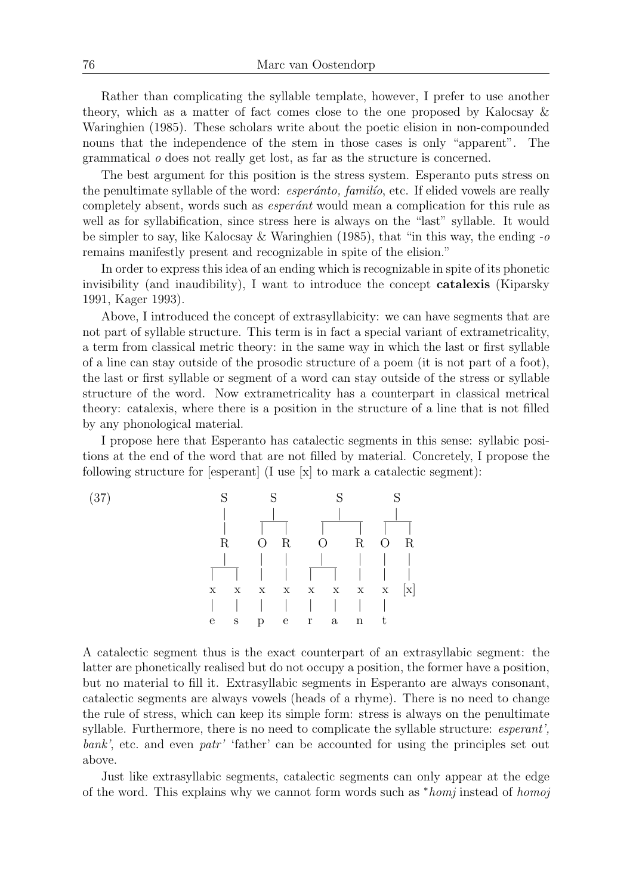Rather than complicating the syllable template, however, I prefer to use another theory, which as a matter of fact comes close to the one proposed by Kalocsay & Waringhien (1985). These scholars write about the poetic elision in non-compounded nouns that the independence of the stem in those cases is only "apparent". The grammatical o does not really get lost, as far as the structure is concerned.

The best argument for this position is the stress system. Esperanto puts stress on the penultimate syllable of the word: *esperánto*, *familio*, etc. If elided vowels are really completely absent, words such as *esperánt* would mean a complication for this rule as well as for syllabification, since stress here is always on the "last" syllable. It would be simpler to say, like Kalocsay & Waringhien (1985), that "in this way, the ending  $-\sigma$ remains manifestly present and recognizable in spite of the elision."

In order to express this idea of an ending which is recognizable in spite of its phonetic invisibility (and inaudibility), I want to introduce the concept catalexis (Kiparsky 1991, Kager 1993).

Above, I introduced the concept of extrasyllabicity: we can have segments that are not part of syllable structure. This term is in fact a special variant of extrametricality, a term from classical metric theory: in the same way in which the last or first syllable of a line can stay outside of the prosodic structure of a poem (it is not part of a foot), the last or first syllable or segment of a word can stay outside of the stress or syllable structure of the word. Now extrametricality has a counterpart in classical metrical theory: catalexis, where there is a position in the structure of a line that is not filled by any phonological material.

I propose here that Esperanto has catalectic segments in this sense: syllabic positions at the end of the word that are not filled by material. Concretely, I propose the following structure for [esperant] (I use [x] to mark a catalectic segment):

(37) S S S S | | | | | | | | | | | R O R O R O R | | | | | | | | | | | | | | | | x x x x x x x x [x] | | | | | | | | e s p e r a n t

A catalectic segment thus is the exact counterpart of an extrasyllabic segment: the latter are phonetically realised but do not occupy a position, the former have a position, but no material to fill it. Extrasyllabic segments in Esperanto are always consonant, catalectic segments are always vowels (heads of a rhyme). There is no need to change the rule of stress, which can keep its simple form: stress is always on the penultimate syllable. Furthermore, there is no need to complicate the syllable structure: *esperant*', bank', etc. and even patr' 'father' can be accounted for using the principles set out above.

Just like extrasyllabic segments, catalectic segments can only appear at the edge of the word. This explains why we cannot form words such as <sup>∗</sup>homj instead of homoj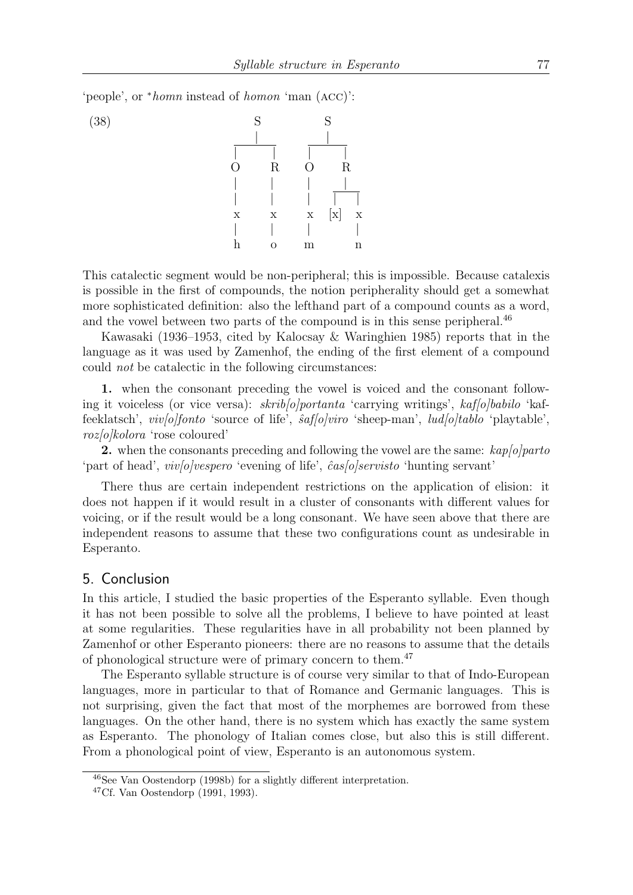'people', or <sup>∗</sup>homn instead of homon 'man (acc)':



This catalectic segment would be non-peripheral; this is impossible. Because catalexis is possible in the first of compounds, the notion peripherality should get a somewhat more sophisticated definition: also the lefthand part of a compound counts as a word, and the vowel between two parts of the compound is in this sense peripheral.<sup>46</sup>

Kawasaki (1936–1953, cited by Kalocsay & Waringhien 1985) reports that in the language as it was used by Zamenhof, the ending of the first element of a compound could not be catalectic in the following circumstances:

1. when the consonant preceding the vowel is voiced and the consonant following it voiceless (or vice versa):  $skrib[olportanta$  'carrying writings',  $kaf[olbabilo$  'kaffeeklatsch', *viv*/o/fonto 'source of life',  $\hat{a}$ af/o/viro 'sheep-man', *lud*/o/tablo 'playtable'. roz[o]kolora 'rose coloured'

2. when the consonants preceding and following the vowel are the same:  $\frac{kap}{\theta|part}$ 'part of head', *viv*[o]vespero 'evening of life', *cas*[o]servisto 'hunting servant'

There thus are certain independent restrictions on the application of elision: it does not happen if it would result in a cluster of consonants with different values for voicing, or if the result would be a long consonant. We have seen above that there are independent reasons to assume that these two configurations count as undesirable in Esperanto.

# 5. Conclusion

In this article, I studied the basic properties of the Esperanto syllable. Even though it has not been possible to solve all the problems, I believe to have pointed at least at some regularities. These regularities have in all probability not been planned by Zamenhof or other Esperanto pioneers: there are no reasons to assume that the details of phonological structure were of primary concern to them.<sup>47</sup>

The Esperanto syllable structure is of course very similar to that of Indo-European languages, more in particular to that of Romance and Germanic languages. This is not surprising, given the fact that most of the morphemes are borrowed from these languages. On the other hand, there is no system which has exactly the same system as Esperanto. The phonology of Italian comes close, but also this is still different. From a phonological point of view, Esperanto is an autonomous system.

<sup>46</sup>See Van Oostendorp (1998b) for a slightly different interpretation.

<sup>47</sup>Cf. Van Oostendorp (1991, 1993).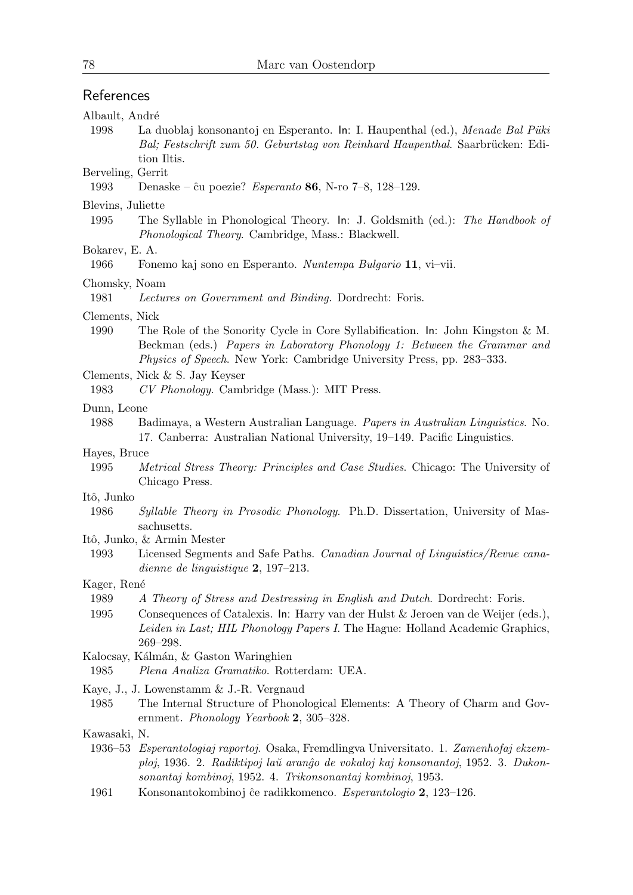# References

| Albault, André            |                                                                                                                                                                                                                                                                  |
|---------------------------|------------------------------------------------------------------------------------------------------------------------------------------------------------------------------------------------------------------------------------------------------------------|
| 1998                      | La duoblaj konsonantoj en Esperanto. In: I. Haupenthal (ed.), Menade Bal Püki<br>Bal; Festschrift zum 50. Geburtstag von Reinhard Haupenthal. Saarbrücken: Edi-<br>tion Iltis.                                                                                   |
| Berveling, Gerrit<br>1993 | Denaske – ĉu poezie? <i>Esperanto</i> 86, N-ro 7–8, 128–129.                                                                                                                                                                                                     |
| Blevins, Juliette         |                                                                                                                                                                                                                                                                  |
| 1995                      | The Syllable in Phonological Theory. In: J. Goldsmith (ed.): The Handbook of<br>Phonological Theory. Cambridge, Mass.: Blackwell.                                                                                                                                |
| Bokarev, E. A.<br>1966    | Fonemo kaj sono en Esperanto. Nuntempa Bulgario 11, vi-vii.                                                                                                                                                                                                      |
| Chomsky, Noam<br>1981     | Lectures on Government and Binding. Dordrecht: Foris.                                                                                                                                                                                                            |
| Clements, Nick<br>1990    | The Role of the Sonority Cycle in Core Syllabification. In: John Kingston & M.<br>Beckman (eds.) Papers in Laboratory Phonology 1: Between the Grammar and<br><i>Physics of Speech.</i> New York: Cambridge University Press, pp. 283–333.                       |
| 1983                      | Clements, Nick & S. Jay Keyser<br>CV Phonology. Cambridge (Mass.): MIT Press.                                                                                                                                                                                    |
| Dunn, Leone               |                                                                                                                                                                                                                                                                  |
| 1988                      | Badimaya, a Western Australian Language. Papers in Australian Linguistics. No.<br>17. Canberra: Australian National University, 19–149. Pacific Linguistics.                                                                                                     |
| Hayes, Bruce              |                                                                                                                                                                                                                                                                  |
| 1995                      | <i>Metrical Stress Theory: Principles and Case Studies.</i> Chicago: The University of<br>Chicago Press.                                                                                                                                                         |
| Itô, Junko                |                                                                                                                                                                                                                                                                  |
| 1986                      | <i>Syllable Theory in Prosodic Phonology.</i> Ph.D. Dissertation, University of Mas-<br>sachusetts.                                                                                                                                                              |
|                           | Itô, Junko, & Armin Mester                                                                                                                                                                                                                                       |
| 1993                      | Licensed Segments and Safe Paths. Canadian Journal of Linguistics/Revue cana-<br>dienne de linguistique $2, 197-213$ .                                                                                                                                           |
| Kager, René               |                                                                                                                                                                                                                                                                  |
| 1989<br>1995              | A Theory of Stress and Destressing in English and Dutch. Dordrecht: Foris.<br>Consequences of Catalexis. In: Harry van der Hulst & Jeroen van de Weijer (eds.),<br>Leiden in Last; HIL Phonology Papers I. The Hague: Holland Academic Graphics,<br>$269 - 298.$ |
| 1985                      | Kalocsay, Kálmán, & Gaston Waringhien<br>Plena Analiza Gramatiko. Rotterdam: UEA.                                                                                                                                                                                |
| 1985                      | Kaye, J., J. Lowenstamm & J.-R. Vergnaud<br>The Internal Structure of Phonological Elements: A Theory of Charm and Gov-<br>ernment. <i>Phonology Yearbook</i> 2, 305–328.                                                                                        |
| Kawasaki, N.              | 1936–53 Esperantologiaj raportoj. Osaka, Fremdlingva Universitato. 1. Zamenhofaj ekzem-<br>ploj, 1936. 2. Radiktipoj laŭ aranĝo de vokaloj kaj konsonantoj, 1952. 3. Dukon-<br>sonantaj kombinoj, 1952. 4. Trikonsonantaj kombinoj, 1953.                        |
| 1961                      | Konsonantokombinoj ĉe radikkomenco. Esperantologio 2, 123-126.                                                                                                                                                                                                   |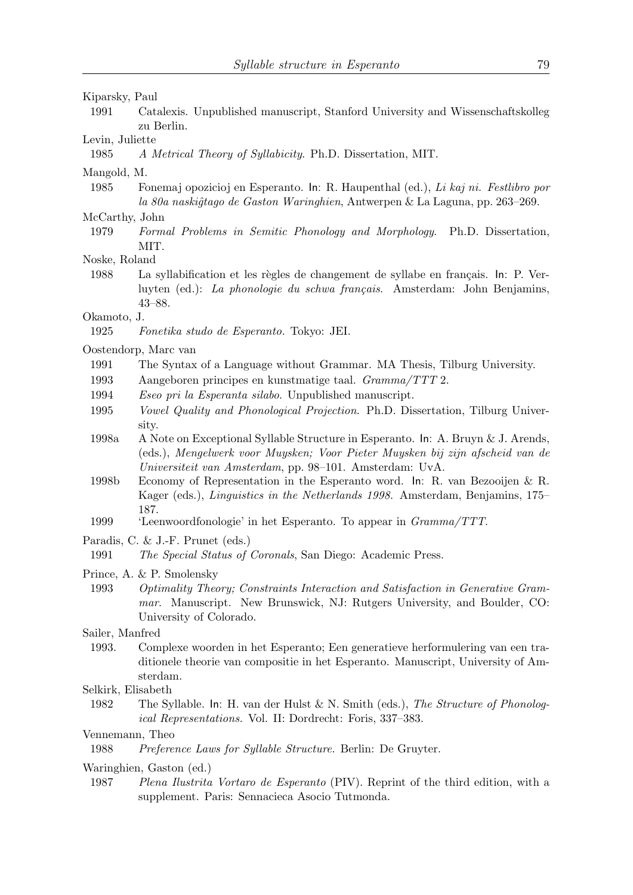## Kiparsky, Paul

1991 Catalexis. Unpublished manuscript, Stanford University and Wissenschaftskolleg zu Berlin.

#### Levin, Juliette

1985 A Metrical Theory of Syllabicity. Ph.D. Dissertation, MIT.

#### Mangold, M.

1985 Fonemaj opozicioj en Esperanto. In: R. Haupenthal (ed.), Li kaj ni. Festlibro por la 80a naskiĝtago de Gaston Waringhien, Antwerpen & La Laguna, pp. 263–269.

# McCarthy, John

- 1979 Formal Problems in Semitic Phonology and Morphology. Ph.D. Dissertation, MIT.
- Noske, Roland
- 1988 La syllabification et les règles de changement de syllabe en français. In: P. Verluyten (ed.): La phonologie du schwa français. Amsterdam: John Benjamins, 43–88.

#### Okamoto, J.

1925 Fonetika studo de Esperanto. Tokyo: JEI.

#### Oostendorp, Marc van

- 1991 The Syntax of a Language without Grammar. MA Thesis, Tilburg University.
- 1993 Aangeboren principes en kunstmatige taal. Gramma/TTT 2.
- 1994 Eseo pri la Esperanta silabo. Unpublished manuscript.
- 1995 Vowel Quality and Phonological Projection. Ph.D. Dissertation, Tilburg University.
- 1998a A Note on Exceptional Syllable Structure in Esperanto. In: A. Bruyn & J. Arends, (eds.), Mengelwerk voor Muysken; Voor Pieter Muysken bij zijn afscheid van de Universiteit van Amsterdam, pp. 98–101. Amsterdam: UvA.
- 1998b Economy of Representation in the Esperanto word. In: R. van Bezooijen & R. Kager (eds.), Linguistics in the Netherlands 1998. Amsterdam, Benjamins, 175– 187.
- 1999 'Leenwoordfonologie' in het Esperanto. To appear in Gramma/TTT.
- Paradis, C. & J.-F. Prunet (eds.)

#### Prince, A. & P. Smolensky

- 1993 Optimality Theory; Constraints Interaction and Satisfaction in Generative Grammar. Manuscript. New Brunswick, NJ: Rutgers University, and Boulder, CO: University of Colorado.
- Sailer, Manfred
- 1993. Complexe woorden in het Esperanto; Een generatieve herformulering van een traditionele theorie van compositie in het Esperanto. Manuscript, University of Amsterdam.
- Selkirk, Elisabeth
- 1982 The Syllable. In: H. van der Hulst & N. Smith (eds.), The Structure of Phonological Representations. Vol. II: Dordrecht: Foris, 337–383.

#### Vennemann, Theo

1988 Preference Laws for Syllable Structure. Berlin: De Gruyter.

Waringhien, Gaston (ed.)

1987 Plena Ilustrita Vortaro de Esperanto (PIV). Reprint of the third edition, with a supplement. Paris: Sennacieca Asocio Tutmonda.

<sup>1991</sup> The Special Status of Coronals, San Diego: Academic Press.